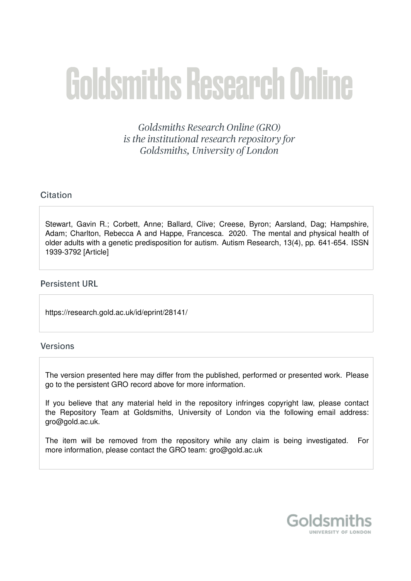# **Goldsmiths Research Online**

Goldsmiths Research Online (GRO) is the institutional research repository for Goldsmiths, University of London

## Citation

Stewart, Gavin R.; Corbett, Anne; Ballard, Clive; Creese, Byron; Aarsland, Dag; Hampshire, Adam; Charlton, Rebecca A and Happe, Francesca. 2020. The mental and physical health of older adults with a genetic predisposition for autism. Autism Research, 13(4), pp. 641-654. ISSN 1939-3792 [Article]

## **Persistent URL**

https://research.gold.ac.uk/id/eprint/28141/

## Versions

The version presented here may differ from the published, performed or presented work. Please go to the persistent GRO record above for more information.

If you believe that any material held in the repository infringes copyright law, please contact the Repository Team at Goldsmiths, University of London via the following email address: gro@gold.ac.uk.

The item will be removed from the repository while any claim is being investigated. For more information, please contact the GRO team: gro@gold.ac.uk

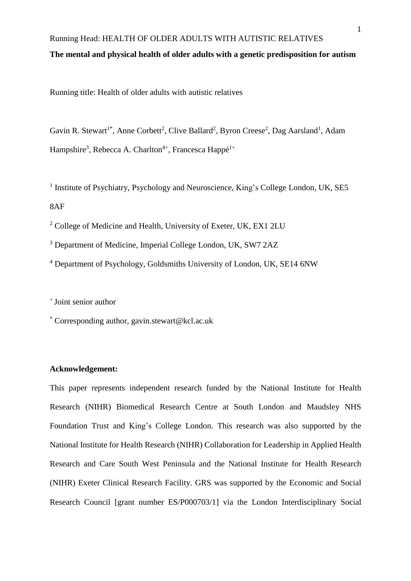# Running Head: HEALTH OF OLDER ADULTS WITH AUTISTIC RELATIVES **The mental and physical health of older adults with a genetic predisposition for autism**

Running title: Health of older adults with autistic relatives

Gavin R. Stewart<sup>1\*</sup>, Anne Corbett<sup>2</sup>, Clive Ballard<sup>2</sup>, Byron Creese<sup>2</sup>, Dag Aarsland<sup>1</sup>, Adam Hampshire<sup>3</sup>, Rebecca A. Charlton<sup>4+</sup>, Francesca Happé<sup>1+</sup>

<sup>1</sup> Institute of Psychiatry, Psychology and Neuroscience, King's College London, UK, SE5 8AF

<sup>2</sup> College of Medicine and Health, University of Exeter, UK, EX1 2LU

<sup>3</sup> Department of Medicine, Imperial College London, UK, SW7 2AZ

<sup>4</sup> Department of Psychology, Goldsmiths University of London, UK, SE14 6NW

+ Joint senior author

\* Corresponding author, gavin.stewart@kcl.ac.uk

## **Acknowledgement:**

This paper represents independent research funded by the National Institute for Health Research (NIHR) Biomedical Research Centre at South London and Maudsley NHS Foundation Trust and King's College London. This research was also supported by the National Institute for Health Research (NIHR) Collaboration for Leadership in Applied Health Research and Care South West Peninsula and the National Institute for Health Research (NIHR) Exeter Clinical Research Facility. GRS was supported by the Economic and Social Research Council [grant number ES/P000703/1] via the London Interdisciplinary Social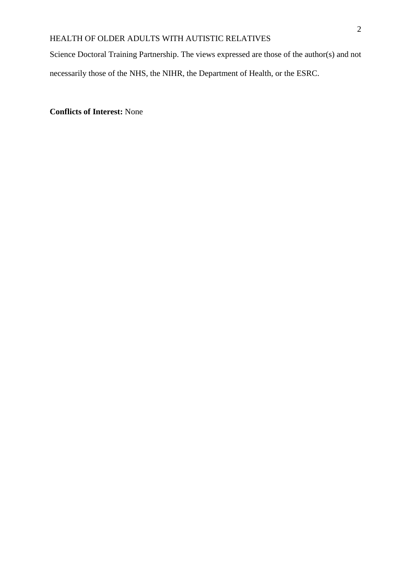Science Doctoral Training Partnership. The views expressed are those of the author(s) and not necessarily those of the NHS, the NIHR, the Department of Health, or the ESRC.

**Conflicts of Interest:** None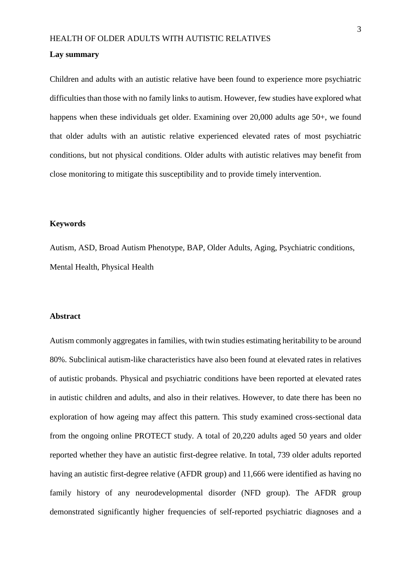#### **Lay summary**

Children and adults with an autistic relative have been found to experience more psychiatric difficulties than those with no family links to autism. However, few studies have explored what happens when these individuals get older. Examining over 20,000 adults age 50+, we found that older adults with an autistic relative experienced elevated rates of most psychiatric conditions, but not physical conditions. Older adults with autistic relatives may benefit from close monitoring to mitigate this susceptibility and to provide timely intervention.

## **Keywords**

Autism, ASD, Broad Autism Phenotype, BAP, Older Adults, Aging, Psychiatric conditions, Mental Health, Physical Health

#### **Abstract**

Autism commonly aggregates in families, with twin studies estimating heritability to be around 80%. Subclinical autism-like characteristics have also been found at elevated rates in relatives of autistic probands. Physical and psychiatric conditions have been reported at elevated rates in autistic children and adults, and also in their relatives. However, to date there has been no exploration of how ageing may affect this pattern. This study examined cross-sectional data from the ongoing online PROTECT study. A total of 20,220 adults aged 50 years and older reported whether they have an autistic first-degree relative. In total, 739 older adults reported having an autistic first-degree relative (AFDR group) and 11,666 were identified as having no family history of any neurodevelopmental disorder (NFD group). The AFDR group demonstrated significantly higher frequencies of self-reported psychiatric diagnoses and a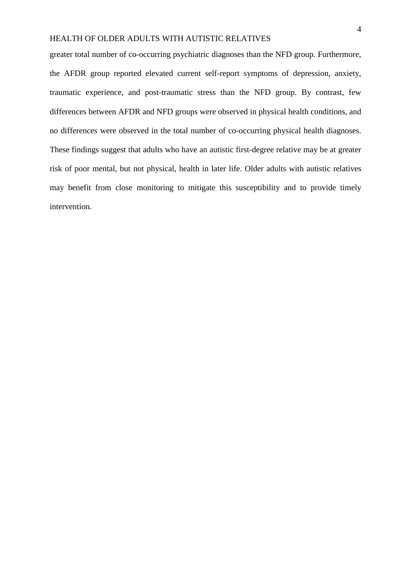greater total number of co-occurring psychiatric diagnoses than the NFD group. Furthermore, the AFDR group reported elevated current self-report symptoms of depression, anxiety, traumatic experience, and post-traumatic stress than the NFD group. By contrast, few differences between AFDR and NFD groups were observed in physical health conditions, and no differences were observed in the total number of co-occurring physical health diagnoses. These findings suggest that adults who have an autistic first-degree relative may be at greater risk of poor mental, but not physical, health in later life. Older adults with autistic relatives may benefit from close monitoring to mitigate this susceptibility and to provide timely intervention.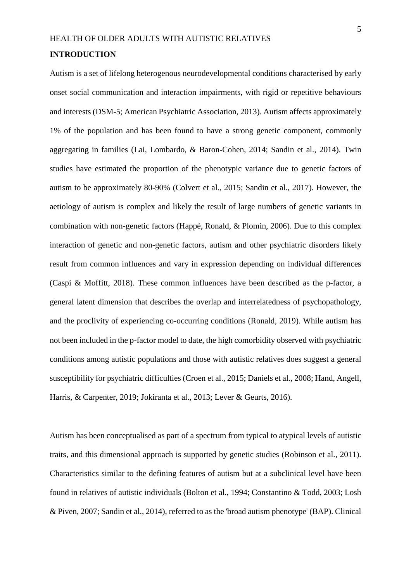## HEALTH OF OLDER ADULTS WITH AUTISTIC RELATIVES **INTRODUCTION**

Autism is a set of lifelong heterogenous neurodevelopmental conditions characterised by early onset social communication and interaction impairments, with rigid or repetitive behaviours and interests (DSM-5; American Psychiatric Association, 2013). Autism affects approximately 1% of the population and has been found to have a strong genetic component, commonly aggregating in families (Lai, Lombardo, & Baron-Cohen, 2014; Sandin et al., 2014). Twin studies have estimated the proportion of the phenotypic variance due to genetic factors of autism to be approximately 80-90% (Colvert et al., 2015; Sandin et al., 2017). However, the aetiology of autism is complex and likely the result of large numbers of genetic variants in combination with non-genetic factors (Happé, Ronald, & Plomin, 2006). Due to this complex interaction of genetic and non-genetic factors, autism and other psychiatric disorders likely result from common influences and vary in expression depending on individual differences (Caspi & Moffitt, 2018). These common influences have been described as the p-factor, a general latent dimension that describes the overlap and interrelatedness of psychopathology, and the proclivity of experiencing co-occurring conditions (Ronald, 2019). While autism has not been included in the p-factor model to date, the high comorbidity observed with psychiatric conditions among autistic populations and those with autistic relatives does suggest a general susceptibility for psychiatric difficulties (Croen et al., 2015; Daniels et al., 2008; Hand, Angell, Harris, & Carpenter, 2019; Jokiranta et al., 2013; Lever & Geurts, 2016).

Autism has been conceptualised as part of a spectrum from typical to atypical levels of autistic traits, and this dimensional approach is supported by genetic studies (Robinson et al., 2011). Characteristics similar to the defining features of autism but at a subclinical level have been found in relatives of autistic individuals (Bolton et al., 1994; Constantino & Todd, 2003; Losh & Piven, 2007; Sandin et al., 2014), referred to as the 'broad autism phenotype' (BAP). Clinical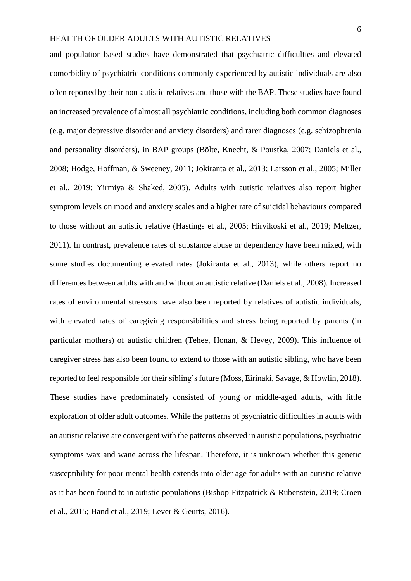and population-based studies have demonstrated that psychiatric difficulties and elevated comorbidity of psychiatric conditions commonly experienced by autistic individuals are also often reported by their non-autistic relatives and those with the BAP. These studies have found an increased prevalence of almost all psychiatric conditions, including both common diagnoses (e.g. major depressive disorder and anxiety disorders) and rarer diagnoses (e.g. schizophrenia and personality disorders), in BAP groups (Bölte, Knecht, & Poustka, 2007; Daniels et al., 2008; Hodge, Hoffman, & Sweeney, 2011; Jokiranta et al., 2013; Larsson et al., 2005; Miller et al., 2019; Yirmiya & Shaked, 2005). Adults with autistic relatives also report higher symptom levels on mood and anxiety scales and a higher rate of suicidal behaviours compared to those without an autistic relative (Hastings et al., 2005; Hirvikoski et al., 2019; Meltzer, 2011). In contrast, prevalence rates of substance abuse or dependency have been mixed, with some studies documenting elevated rates (Jokiranta et al., 2013), while others report no differences between adults with and without an autistic relative (Daniels et al., 2008). Increased rates of environmental stressors have also been reported by relatives of autistic individuals, with elevated rates of caregiving responsibilities and stress being reported by parents (in particular mothers) of autistic children (Tehee, Honan, & Hevey, 2009). This influence of caregiver stress has also been found to extend to those with an autistic sibling, who have been reported to feel responsible for their sibling's future (Moss, Eirinaki, Savage, & Howlin, 2018). These studies have predominately consisted of young or middle-aged adults, with little exploration of older adult outcomes. While the patterns of psychiatric difficulties in adults with an autistic relative are convergent with the patterns observed in autistic populations, psychiatric symptoms wax and wane across the lifespan. Therefore, it is unknown whether this genetic susceptibility for poor mental health extends into older age for adults with an autistic relative as it has been found to in autistic populations (Bishop-Fitzpatrick & Rubenstein, 2019; Croen et al., 2015; Hand et al., 2019; Lever & Geurts, 2016).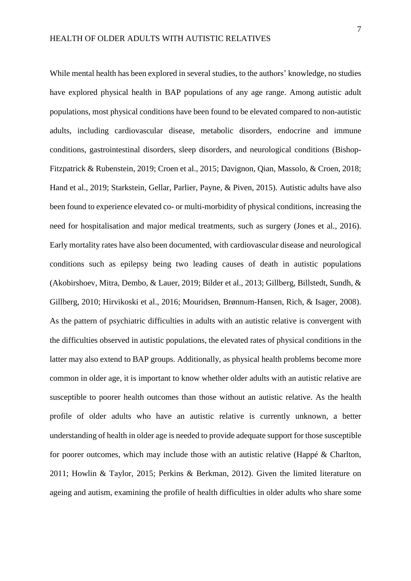While mental health has been explored in several studies, to the authors' knowledge, no studies have explored physical health in BAP populations of any age range. Among autistic adult populations, most physical conditions have been found to be elevated compared to non-autistic adults, including cardiovascular disease, metabolic disorders, endocrine and immune conditions, gastrointestinal disorders, sleep disorders, and neurological conditions (Bishop-Fitzpatrick & Rubenstein, 2019; Croen et al., 2015; Davignon, Qian, Massolo, & Croen, 2018; Hand et al., 2019; Starkstein, Gellar, Parlier, Payne, & Piven, 2015). Autistic adults have also been found to experience elevated co- or multi-morbidity of physical conditions, increasing the need for hospitalisation and major medical treatments, such as surgery (Jones et al., 2016). Early mortality rates have also been documented, with cardiovascular disease and neurological conditions such as epilepsy being two leading causes of death in autistic populations (Akobirshoev, Mitra, Dembo, & Lauer, 2019; Bilder et al., 2013; Gillberg, Billstedt, Sundh, & Gillberg, 2010; Hirvikoski et al., 2016; Mouridsen, Brønnum-Hansen, Rich, & Isager, 2008). As the pattern of psychiatric difficulties in adults with an autistic relative is convergent with the difficulties observed in autistic populations, the elevated rates of physical conditions in the latter may also extend to BAP groups. Additionally, as physical health problems become more common in older age, it is important to know whether older adults with an autistic relative are susceptible to poorer health outcomes than those without an autistic relative. As the health profile of older adults who have an autistic relative is currently unknown, a better understanding of health in older age is needed to provide adequate support for those susceptible for poorer outcomes, which may include those with an autistic relative (Happé & Charlton, 2011; Howlin & Taylor, 2015; Perkins & Berkman, 2012). Given the limited literature on ageing and autism, examining the profile of health difficulties in older adults who share some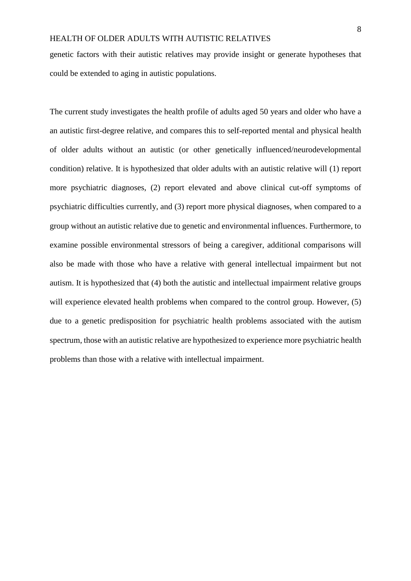genetic factors with their autistic relatives may provide insight or generate hypotheses that could be extended to aging in autistic populations.

The current study investigates the health profile of adults aged 50 years and older who have a an autistic first-degree relative, and compares this to self-reported mental and physical health of older adults without an autistic (or other genetically influenced/neurodevelopmental condition) relative. It is hypothesized that older adults with an autistic relative will (1) report more psychiatric diagnoses, (2) report elevated and above clinical cut-off symptoms of psychiatric difficulties currently, and (3) report more physical diagnoses, when compared to a group without an autistic relative due to genetic and environmental influences. Furthermore, to examine possible environmental stressors of being a caregiver, additional comparisons will also be made with those who have a relative with general intellectual impairment but not autism. It is hypothesized that (4) both the autistic and intellectual impairment relative groups will experience elevated health problems when compared to the control group. However, (5) due to a genetic predisposition for psychiatric health problems associated with the autism spectrum, those with an autistic relative are hypothesized to experience more psychiatric health problems than those with a relative with intellectual impairment.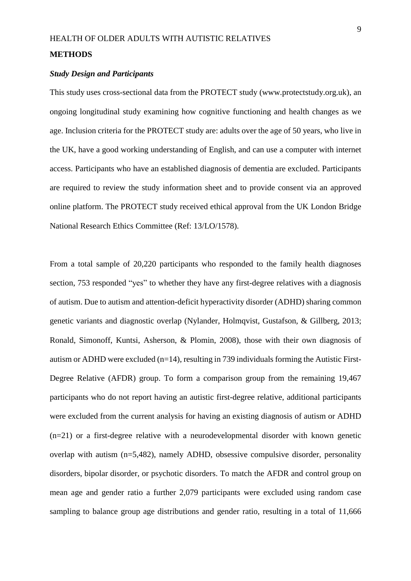#### **METHODS**

#### *Study Design and Participants*

This study uses cross-sectional data from the PROTECT study (www.protectstudy.org.uk), an ongoing longitudinal study examining how cognitive functioning and health changes as we age. Inclusion criteria for the PROTECT study are: adults over the age of 50 years, who live in the UK, have a good working understanding of English, and can use a computer with internet access. Participants who have an established diagnosis of dementia are excluded. Participants are required to review the study information sheet and to provide consent via an approved online platform. The PROTECT study received ethical approval from the UK London Bridge National Research Ethics Committee (Ref: 13/LO/1578).

From a total sample of 20,220 participants who responded to the family health diagnoses section, 753 responded "yes" to whether they have any first-degree relatives with a diagnosis of autism. Due to autism and attention-deficit hyperactivity disorder (ADHD) sharing common genetic variants and diagnostic overlap (Nylander, Holmqvist, Gustafson, & Gillberg, 2013; Ronald, Simonoff, Kuntsi, Asherson, & Plomin, 2008), those with their own diagnosis of autism or ADHD were excluded (n=14), resulting in 739 individuals forming the Autistic First-Degree Relative (AFDR) group. To form a comparison group from the remaining 19,467 participants who do not report having an autistic first-degree relative, additional participants were excluded from the current analysis for having an existing diagnosis of autism or ADHD (n=21) or a first-degree relative with a neurodevelopmental disorder with known genetic overlap with autism (n=5,482), namely ADHD, obsessive compulsive disorder, personality disorders, bipolar disorder, or psychotic disorders. To match the AFDR and control group on mean age and gender ratio a further 2,079 participants were excluded using random case sampling to balance group age distributions and gender ratio, resulting in a total of 11,666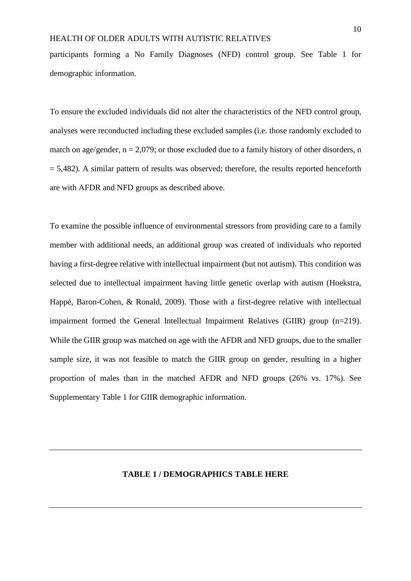participants forming a No Family Diagnoses (NFD) control group. See Table 1 for demographic information.

To ensure the excluded individuals did not alter the characteristics of the NFD control group, analyses were reconducted including these excluded samples (i.e. those randomly excluded to match on age/gender,  $n = 2.079$ ; or those excluded due to a family history of other disorders, n  $= 5,482$ ). A similar pattern of results was observed; therefore, the results reported henceforth are with AFDR and NFD groups as described above.

To examine the possible influence of environmental stressors from providing care to a family member with additional needs, an additional group was created of individuals who reported having a first-degree relative with intellectual impairment (but not autism). This condition was selected due to intellectual impairment having little genetic overlap with autism (Hoekstra, Happé, Baron-Cohen, & Ronald, 2009). Those with a first-degree relative with intellectual impairment formed the General Intellectual Impairment Relatives (GIIR) group (n=219). While the GIIR group was matched on age with the AFDR and NFD groups, due to the smaller sample size, it was not feasible to match the GIIR group on gender, resulting in a higher proportion of males than in the matched AFDR and NFD groups (26% vs. 17%). See Supplementary Table 1 for GIIR demographic information.

## **TABLE 1 / DEMOGRAPHICS TABLE HERE**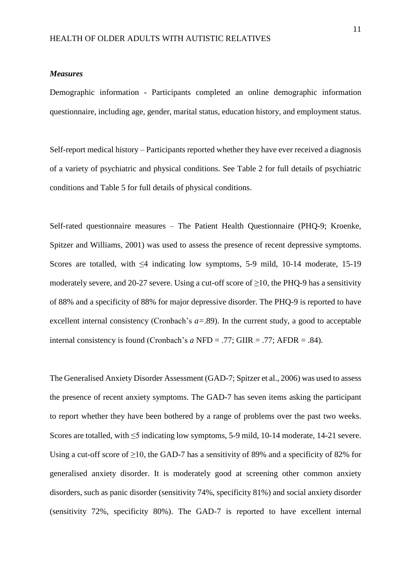#### *Measures*

Demographic information - Participants completed an online demographic information questionnaire, including age, gender, marital status, education history, and employment status.

Self-report medical history – Participants reported whether they have ever received a diagnosis of a variety of psychiatric and physical conditions. See Table 2 for full details of psychiatric conditions and Table 5 for full details of physical conditions.

Self-rated questionnaire measures – The Patient Health Questionnaire (PHQ-9; Kroenke, Spitzer and Williams, 2001) was used to assess the presence of recent depressive symptoms. Scores are totalled, with  $\leq 4$  indicating low symptoms, 5-9 mild, 10-14 moderate, 15-19 moderately severe, and 20-27 severe. Using a cut-off score of  $\geq$ 10, the PHQ-9 has a sensitivity of 88% and a specificity of 88% for major depressive disorder. The PHQ-9 is reported to have excellent internal consistency (Cronbach's *a=*.89). In the current study, a good to acceptable internal consistency is found (Cronbach's *a* NFD = .77; GIIR = .77; AFDR = .84).

The Generalised Anxiety Disorder Assessment (GAD-7; Spitzer et al., 2006) was used to assess the presence of recent anxiety symptoms. The GAD-7 has seven items asking the participant to report whether they have been bothered by a range of problems over the past two weeks. Scores are totalled, with ≤5 indicating low symptoms, 5-9 mild, 10-14 moderate, 14-21 severe. Using a cut-off score of  $\geq$ 10, the GAD-7 has a sensitivity of 89% and a specificity of 82% for generalised anxiety disorder. It is moderately good at screening other common anxiety disorders, such as panic disorder (sensitivity 74%, specificity 81%) and social anxiety disorder (sensitivity 72%, specificity 80%). The GAD-7 is reported to have excellent internal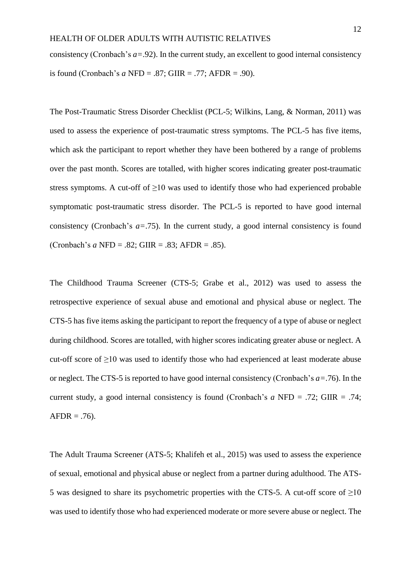consistency (Cronbach's *a=*.92). In the current study, an excellent to good internal consistency is found (Cronbach's *a* NFD = .87; GIIR = .77; AFDR = .90).

The Post-Traumatic Stress Disorder Checklist (PCL-5; Wilkins, Lang, & Norman, 2011) was used to assess the experience of post-traumatic stress symptoms. The PCL-5 has five items, which ask the participant to report whether they have been bothered by a range of problems over the past month. Scores are totalled, with higher scores indicating greater post-traumatic stress symptoms. A cut-off of  $\geq 10$  was used to identify those who had experienced probable symptomatic post-traumatic stress disorder. The PCL-5 is reported to have good internal consistency (Cronbach's *a=*.75). In the current study, a good internal consistency is found (Cronbach's *a* NFD = .82; GIIR = .83; AFDR = .85).

The Childhood Trauma Screener (CTS-5; Grabe et al., 2012) was used to assess the retrospective experience of sexual abuse and emotional and physical abuse or neglect. The CTS-5 has five items asking the participant to report the frequency of a type of abuse or neglect during childhood. Scores are totalled, with higher scores indicating greater abuse or neglect. A cut-off score of  $\geq$ 10 was used to identify those who had experienced at least moderate abuse or neglect. The CTS-5 is reported to have good internal consistency (Cronbach's *a=*.76). In the current study, a good internal consistency is found (Cronbach's *a* NFD = .72; GIIR = .74;  $AFDR = .76$ ).

The Adult Trauma Screener (ATS-5; Khalifeh et al., 2015) was used to assess the experience of sexual, emotional and physical abuse or neglect from a partner during adulthood. The ATS-5 was designed to share its psychometric properties with the CTS-5. A cut-off score of  $\geq 10$ was used to identify those who had experienced moderate or more severe abuse or neglect. The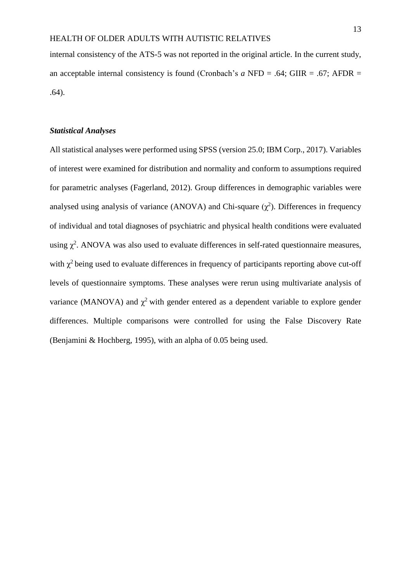internal consistency of the ATS-5 was not reported in the original article. In the current study, an acceptable internal consistency is found (Cronbach's *a* NFD = .64; GIIR = .67; AFDR = .64).

#### *Statistical Analyses*

All statistical analyses were performed using SPSS (version 25.0; IBM Corp., 2017). Variables of interest were examined for distribution and normality and conform to assumptions required for parametric analyses (Fagerland, 2012). Group differences in demographic variables were analysed using analysis of variance (ANOVA) and Chi-square  $(\chi^2)$ . Differences in frequency of individual and total diagnoses of psychiatric and physical health conditions were evaluated using  $\chi^2$ . ANOVA was also used to evaluate differences in self-rated questionnaire measures, with  $\chi^2$  being used to evaluate differences in frequency of participants reporting above cut-off levels of questionnaire symptoms. These analyses were rerun using multivariate analysis of variance (MANOVA) and  $\chi^2$  with gender entered as a dependent variable to explore gender differences. Multiple comparisons were controlled for using the False Discovery Rate (Benjamini & Hochberg, 1995), with an alpha of 0.05 being used.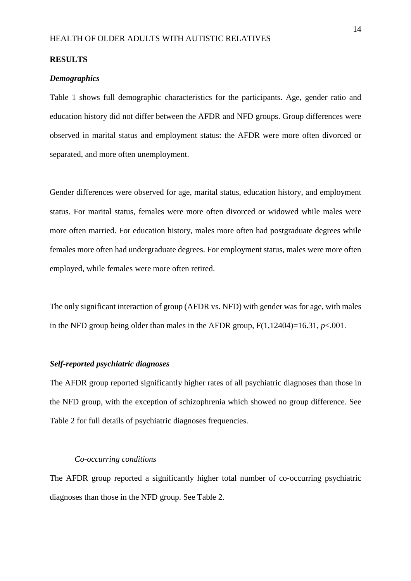#### **RESULTS**

#### *Demographics*

Table 1 shows full demographic characteristics for the participants. Age, gender ratio and education history did not differ between the AFDR and NFD groups. Group differences were observed in marital status and employment status: the AFDR were more often divorced or separated, and more often unemployment.

Gender differences were observed for age, marital status, education history, and employment status. For marital status, females were more often divorced or widowed while males were more often married. For education history, males more often had postgraduate degrees while females more often had undergraduate degrees. For employment status, males were more often employed, while females were more often retired.

The only significant interaction of group (AFDR vs. NFD) with gender was for age, with males in the NFD group being older than males in the AFDR group,  $F(1,12404)=16.31$ ,  $p<.001$ .

#### *Self-reported psychiatric diagnoses*

The AFDR group reported significantly higher rates of all psychiatric diagnoses than those in the NFD group, with the exception of schizophrenia which showed no group difference. See Table 2 for full details of psychiatric diagnoses frequencies.

#### *Co-occurring conditions*

The AFDR group reported a significantly higher total number of co-occurring psychiatric diagnoses than those in the NFD group. See Table 2.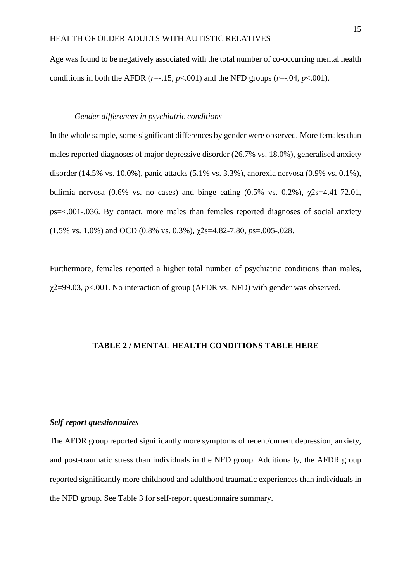Age was found to be negatively associated with the total number of co-occurring mental health conditions in both the AFDR ( $r=-15$ ,  $p<-001$ ) and the NFD groups ( $r=-04$ ,  $p<-001$ ).

#### *Gender differences in psychiatric conditions*

In the whole sample, some significant differences by gender were observed. More females than males reported diagnoses of major depressive disorder (26.7% vs. 18.0%), generalised anxiety disorder (14.5% vs. 10.0%), panic attacks (5.1% vs. 3.3%), anorexia nervosa (0.9% vs. 0.1%), bulimia nervosa (0.6% vs. no cases) and binge eating (0.5% vs. 0.2%),  $\gamma$ 2s=4.41-72.01, *p*s=<.001-.036. By contact, more males than females reported diagnoses of social anxiety (1.5% vs. 1.0%) and OCD (0.8% vs. 0.3%), χ2s=4.82-7.80, *p*s=.005-.028.

Furthermore, females reported a higher total number of psychiatric conditions than males,  $\chi$ 2=99.03, *p*<.001. No interaction of group (AFDR vs. NFD) with gender was observed.

#### **TABLE 2 / MENTAL HEALTH CONDITIONS TABLE HERE**

#### *Self-report questionnaires*

The AFDR group reported significantly more symptoms of recent/current depression, anxiety, and post-traumatic stress than individuals in the NFD group. Additionally, the AFDR group reported significantly more childhood and adulthood traumatic experiences than individuals in the NFD group. See Table 3 for self-report questionnaire summary.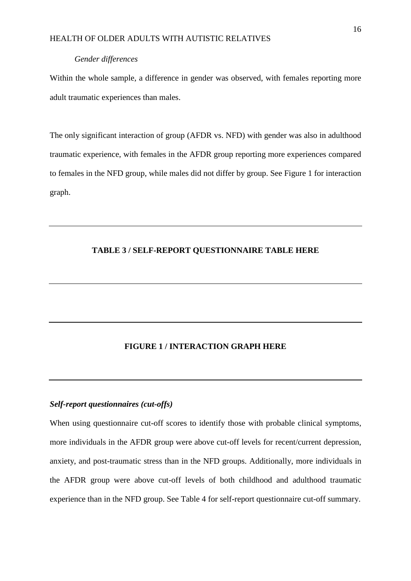#### *Gender differences*

Within the whole sample, a difference in gender was observed, with females reporting more adult traumatic experiences than males.

The only significant interaction of group (AFDR vs. NFD) with gender was also in adulthood traumatic experience, with females in the AFDR group reporting more experiences compared to females in the NFD group, while males did not differ by group. See Figure 1 for interaction graph.

#### **TABLE 3 / SELF-REPORT QUESTIONNAIRE TABLE HERE**

## **FIGURE 1 / INTERACTION GRAPH HERE**

#### *Self-report questionnaires (cut-offs)*

When using questionnaire cut-off scores to identify those with probable clinical symptoms, more individuals in the AFDR group were above cut-off levels for recent/current depression, anxiety, and post-traumatic stress than in the NFD groups. Additionally, more individuals in the AFDR group were above cut-off levels of both childhood and adulthood traumatic experience than in the NFD group. See Table 4 for self-report questionnaire cut-off summary.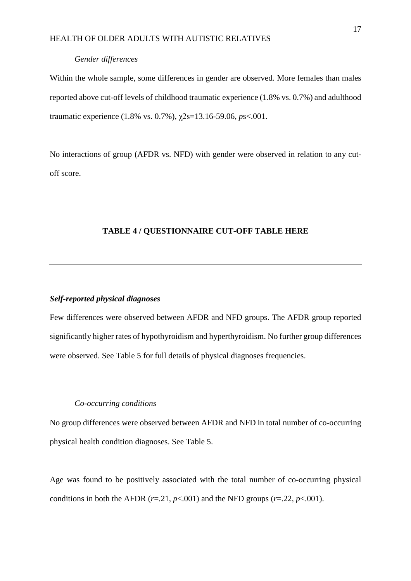#### *Gender differences*

Within the whole sample, some differences in gender are observed. More females than males reported above cut-off levels of childhood traumatic experience (1.8% vs. 0.7%) and adulthood traumatic experience (1.8% vs. 0.7%), χ2s=13.16-59.06, *p*s<.001.

No interactions of group (AFDR vs. NFD) with gender were observed in relation to any cutoff score.

## **TABLE 4 / QUESTIONNAIRE CUT-OFF TABLE HERE**

## *Self-reported physical diagnoses*

Few differences were observed between AFDR and NFD groups. The AFDR group reported significantly higher rates of hypothyroidism and hyperthyroidism. No further group differences were observed. See Table 5 for full details of physical diagnoses frequencies.

## *Co-occurring conditions*

No group differences were observed between AFDR and NFD in total number of co-occurring physical health condition diagnoses. See Table 5.

Age was found to be positively associated with the total number of co-occurring physical conditions in both the AFDR  $(r=.21, p<.001)$  and the NFD groups  $(r=.22, p<.001)$ .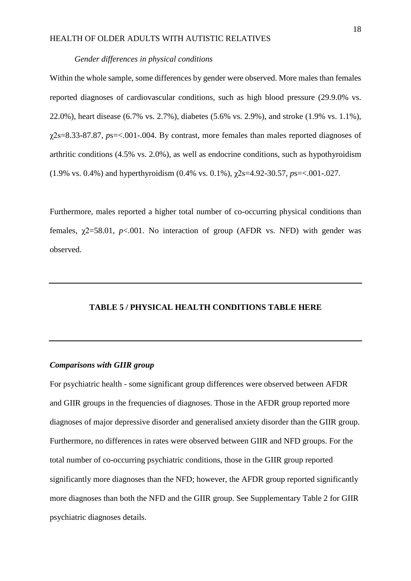#### *Gender differences in physical conditions*

Within the whole sample, some differences by gender were observed. More males than females reported diagnoses of cardiovascular conditions, such as high blood pressure (29.9.0% vs. 22.0%), heart disease (6.7% vs. 2.7%), diabetes (5.6% vs. 2.9%), and stroke (1.9% vs. 1.1%), χ2s=8.33-87.87, *p*s=<.001-.004. By contrast, more females than males reported diagnoses of arthritic conditions (4.5% vs. 2.0%), as well as endocrine conditions, such as hypothyroidism (1.9% vs. 0.4%) and hyperthyroidism (0.4% vs. 0.1%), χ2s=4.92-30.57, *p*s=<.001-.027.

Furthermore, males reported a higher total number of co-occurring physical conditions than females,  $\chi$ 2=58.01,  $p$ <.001. No interaction of group (AFDR vs. NFD) with gender was observed.

## **TABLE 5 / PHYSICAL HEALTH CONDITIONS TABLE HERE**

#### *Comparisons with GIIR group*

For psychiatric health - some significant group differences were observed between AFDR and GIIR groups in the frequencies of diagnoses. Those in the AFDR group reported more diagnoses of major depressive disorder and generalised anxiety disorder than the GIIR group. Furthermore, no differences in rates were observed between GIIR and NFD groups. For the total number of co-occurring psychiatric conditions, those in the GIIR group reported significantly more diagnoses than the NFD; however, the AFDR group reported significantly more diagnoses than both the NFD and the GIIR group. See Supplementary Table 2 for GIIR psychiatric diagnoses details.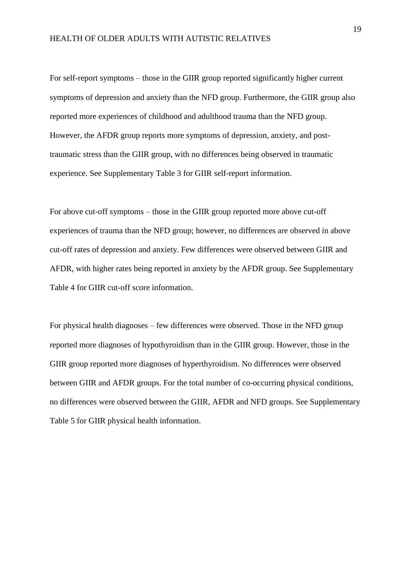For self-report symptoms – those in the GIIR group reported significantly higher current symptoms of depression and anxiety than the NFD group. Furthermore, the GIIR group also reported more experiences of childhood and adulthood trauma than the NFD group. However, the AFDR group reports more symptoms of depression, anxiety, and posttraumatic stress than the GIIR group, with no differences being observed in traumatic experience. See Supplementary Table 3 for GIIR self-report information.

For above cut-off symptoms – those in the GIIR group reported more above cut-off experiences of trauma than the NFD group; however, no differences are observed in above cut-off rates of depression and anxiety. Few differences were observed between GIIR and AFDR, with higher rates being reported in anxiety by the AFDR group. See Supplementary Table 4 for GIIR cut-off score information.

For physical health diagnoses – few differences were observed. Those in the NFD group reported more diagnoses of hypothyroidism than in the GIIR group. However, those in the GIIR group reported more diagnoses of hyperthyroidism. No differences were observed between GIIR and AFDR groups. For the total number of co-occurring physical conditions, no differences were observed between the GIIR, AFDR and NFD groups. See Supplementary Table 5 for GIIR physical health information.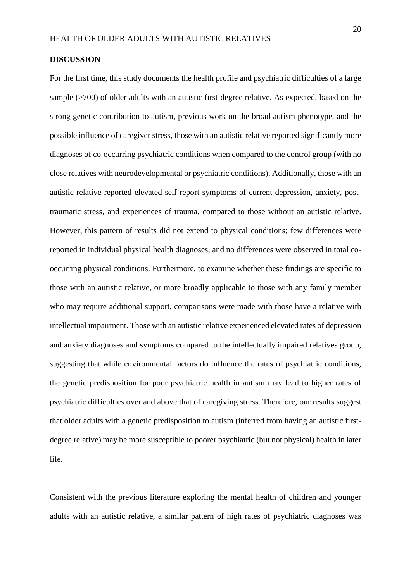#### **DISCUSSION**

For the first time, this study documents the health profile and psychiatric difficulties of a large sample (>700) of older adults with an autistic first-degree relative. As expected, based on the strong genetic contribution to autism, previous work on the broad autism phenotype, and the possible influence of caregiver stress, those with an autistic relative reported significantly more diagnoses of co-occurring psychiatric conditions when compared to the control group (with no close relatives with neurodevelopmental or psychiatric conditions). Additionally, those with an autistic relative reported elevated self-report symptoms of current depression, anxiety, posttraumatic stress, and experiences of trauma, compared to those without an autistic relative. However, this pattern of results did not extend to physical conditions; few differences were reported in individual physical health diagnoses, and no differences were observed in total cooccurring physical conditions. Furthermore, to examine whether these findings are specific to those with an autistic relative, or more broadly applicable to those with any family member who may require additional support, comparisons were made with those have a relative with intellectual impairment. Those with an autistic relative experienced elevated rates of depression and anxiety diagnoses and symptoms compared to the intellectually impaired relatives group, suggesting that while environmental factors do influence the rates of psychiatric conditions, the genetic predisposition for poor psychiatric health in autism may lead to higher rates of psychiatric difficulties over and above that of caregiving stress. Therefore, our results suggest that older adults with a genetic predisposition to autism (inferred from having an autistic firstdegree relative) may be more susceptible to poorer psychiatric (but not physical) health in later life.

Consistent with the previous literature exploring the mental health of children and younger adults with an autistic relative, a similar pattern of high rates of psychiatric diagnoses was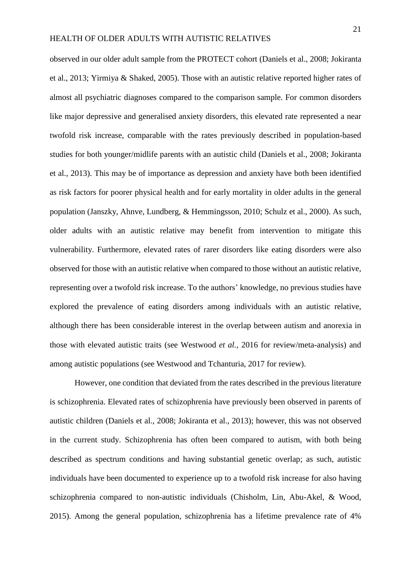observed in our older adult sample from the PROTECT cohort (Daniels et al., 2008; Jokiranta et al., 2013; Yirmiya & Shaked, 2005). Those with an autistic relative reported higher rates of almost all psychiatric diagnoses compared to the comparison sample. For common disorders like major depressive and generalised anxiety disorders, this elevated rate represented a near twofold risk increase, comparable with the rates previously described in population-based studies for both younger/midlife parents with an autistic child (Daniels et al., 2008; Jokiranta et al., 2013). This may be of importance as depression and anxiety have both been identified as risk factors for poorer physical health and for early mortality in older adults in the general population (Janszky, Ahnve, Lundberg, & Hemmingsson, 2010; Schulz et al., 2000). As such, older adults with an autistic relative may benefit from intervention to mitigate this vulnerability. Furthermore, elevated rates of rarer disorders like eating disorders were also observed for those with an autistic relative when compared to those without an autistic relative, representing over a twofold risk increase. To the authors' knowledge, no previous studies have explored the prevalence of eating disorders among individuals with an autistic relative, although there has been considerable interest in the overlap between autism and anorexia in those with elevated autistic traits (see Westwood *et al.*, 2016 for review/meta-analysis) and among autistic populations (see Westwood and Tchanturia, 2017 for review).

However, one condition that deviated from the rates described in the previous literature is schizophrenia. Elevated rates of schizophrenia have previously been observed in parents of autistic children (Daniels et al., 2008; Jokiranta et al., 2013); however, this was not observed in the current study. Schizophrenia has often been compared to autism, with both being described as spectrum conditions and having substantial genetic overlap; as such, autistic individuals have been documented to experience up to a twofold risk increase for also having schizophrenia compared to non-autistic individuals (Chisholm, Lin, Abu-Akel, & Wood, 2015). Among the general population, schizophrenia has a lifetime prevalence rate of 4%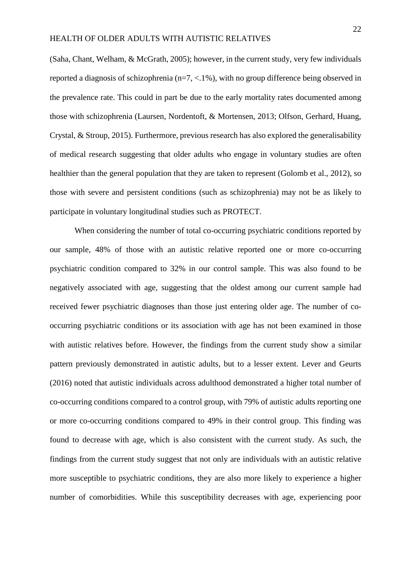(Saha, Chant, Welham, & McGrath, 2005); however, in the current study, very few individuals reported a diagnosis of schizophrenia (n=7, <.1%), with no group difference being observed in the prevalence rate. This could in part be due to the early mortality rates documented among those with schizophrenia (Laursen, Nordentoft, & Mortensen, 2013; Olfson, Gerhard, Huang, Crystal, & Stroup, 2015). Furthermore, previous research has also explored the generalisability of medical research suggesting that older adults who engage in voluntary studies are often healthier than the general population that they are taken to represent (Golomb et al., 2012), so those with severe and persistent conditions (such as schizophrenia) may not be as likely to participate in voluntary longitudinal studies such as PROTECT.

When considering the number of total co-occurring psychiatric conditions reported by our sample, 48% of those with an autistic relative reported one or more co-occurring psychiatric condition compared to 32% in our control sample. This was also found to be negatively associated with age, suggesting that the oldest among our current sample had received fewer psychiatric diagnoses than those just entering older age. The number of cooccurring psychiatric conditions or its association with age has not been examined in those with autistic relatives before. However, the findings from the current study show a similar pattern previously demonstrated in autistic adults, but to a lesser extent. Lever and Geurts (2016) noted that autistic individuals across adulthood demonstrated a higher total number of co-occurring conditions compared to a control group, with 79% of autistic adults reporting one or more co-occurring conditions compared to 49% in their control group. This finding was found to decrease with age, which is also consistent with the current study. As such, the findings from the current study suggest that not only are individuals with an autistic relative more susceptible to psychiatric conditions, they are also more likely to experience a higher number of comorbidities. While this susceptibility decreases with age, experiencing poor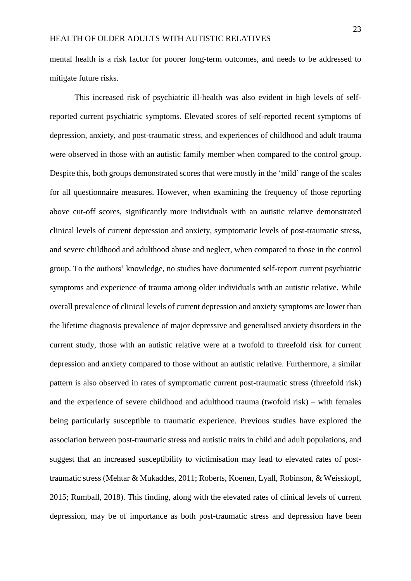mental health is a risk factor for poorer long-term outcomes, and needs to be addressed to mitigate future risks.

This increased risk of psychiatric ill-health was also evident in high levels of selfreported current psychiatric symptoms. Elevated scores of self-reported recent symptoms of depression, anxiety, and post-traumatic stress, and experiences of childhood and adult trauma were observed in those with an autistic family member when compared to the control group. Despite this, both groups demonstrated scores that were mostly in the 'mild' range of the scales for all questionnaire measures. However, when examining the frequency of those reporting above cut-off scores, significantly more individuals with an autistic relative demonstrated clinical levels of current depression and anxiety, symptomatic levels of post-traumatic stress, and severe childhood and adulthood abuse and neglect, when compared to those in the control group. To the authors' knowledge, no studies have documented self-report current psychiatric symptoms and experience of trauma among older individuals with an autistic relative. While overall prevalence of clinical levels of current depression and anxiety symptoms are lower than the lifetime diagnosis prevalence of major depressive and generalised anxiety disorders in the current study, those with an autistic relative were at a twofold to threefold risk for current depression and anxiety compared to those without an autistic relative. Furthermore, a similar pattern is also observed in rates of symptomatic current post-traumatic stress (threefold risk) and the experience of severe childhood and adulthood trauma (twofold risk) – with females being particularly susceptible to traumatic experience. Previous studies have explored the association between post-traumatic stress and autistic traits in child and adult populations, and suggest that an increased susceptibility to victimisation may lead to elevated rates of posttraumatic stress (Mehtar & Mukaddes, 2011; Roberts, Koenen, Lyall, Robinson, & Weisskopf, 2015; Rumball, 2018). This finding, along with the elevated rates of clinical levels of current depression, may be of importance as both post-traumatic stress and depression have been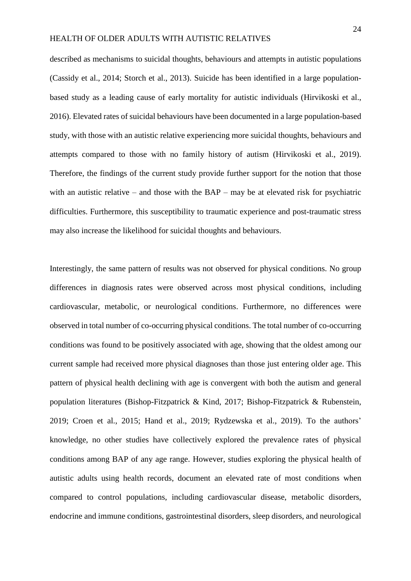described as mechanisms to suicidal thoughts, behaviours and attempts in autistic populations (Cassidy et al., 2014; Storch et al., 2013). Suicide has been identified in a large populationbased study as a leading cause of early mortality for autistic individuals (Hirvikoski et al., 2016). Elevated rates of suicidal behaviours have been documented in a large population-based study, with those with an autistic relative experiencing more suicidal thoughts, behaviours and attempts compared to those with no family history of autism (Hirvikoski et al., 2019). Therefore, the findings of the current study provide further support for the notion that those with an autistic relative – and those with the BAP – may be at elevated risk for psychiatric difficulties. Furthermore, this susceptibility to traumatic experience and post-traumatic stress may also increase the likelihood for suicidal thoughts and behaviours.

Interestingly, the same pattern of results was not observed for physical conditions. No group differences in diagnosis rates were observed across most physical conditions, including cardiovascular, metabolic, or neurological conditions. Furthermore, no differences were observed in total number of co-occurring physical conditions. The total number of co-occurring conditions was found to be positively associated with age, showing that the oldest among our current sample had received more physical diagnoses than those just entering older age. This pattern of physical health declining with age is convergent with both the autism and general population literatures (Bishop-Fitzpatrick & Kind, 2017; Bishop-Fitzpatrick & Rubenstein, 2019; Croen et al., 2015; Hand et al., 2019; Rydzewska et al., 2019). To the authors' knowledge, no other studies have collectively explored the prevalence rates of physical conditions among BAP of any age range. However, studies exploring the physical health of autistic adults using health records, document an elevated rate of most conditions when compared to control populations, including cardiovascular disease, metabolic disorders, endocrine and immune conditions, gastrointestinal disorders, sleep disorders, and neurological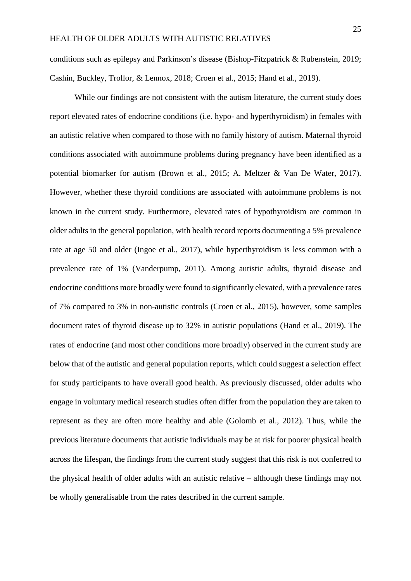conditions such as epilepsy and Parkinson's disease (Bishop-Fitzpatrick & Rubenstein, 2019; Cashin, Buckley, Trollor, & Lennox, 2018; Croen et al., 2015; Hand et al., 2019).

While our findings are not consistent with the autism literature, the current study does report elevated rates of endocrine conditions (i.e. hypo- and hyperthyroidism) in females with an autistic relative when compared to those with no family history of autism. Maternal thyroid conditions associated with autoimmune problems during pregnancy have been identified as a potential biomarker for autism (Brown et al., 2015; A. Meltzer & Van De Water, 2017). However, whether these thyroid conditions are associated with autoimmune problems is not known in the current study. Furthermore, elevated rates of hypothyroidism are common in older adults in the general population, with health record reports documenting a 5% prevalence rate at age 50 and older (Ingoe et al., 2017), while hyperthyroidism is less common with a prevalence rate of 1% (Vanderpump, 2011). Among autistic adults, thyroid disease and endocrine conditions more broadly were found to significantly elevated, with a prevalence rates of 7% compared to 3% in non-autistic controls (Croen et al., 2015), however, some samples document rates of thyroid disease up to 32% in autistic populations (Hand et al., 2019). The rates of endocrine (and most other conditions more broadly) observed in the current study are below that of the autistic and general population reports, which could suggest a selection effect for study participants to have overall good health. As previously discussed, older adults who engage in voluntary medical research studies often differ from the population they are taken to represent as they are often more healthy and able (Golomb et al., 2012). Thus, while the previous literature documents that autistic individuals may be at risk for poorer physical health across the lifespan, the findings from the current study suggest that this risk is not conferred to the physical health of older adults with an autistic relative – although these findings may not be wholly generalisable from the rates described in the current sample.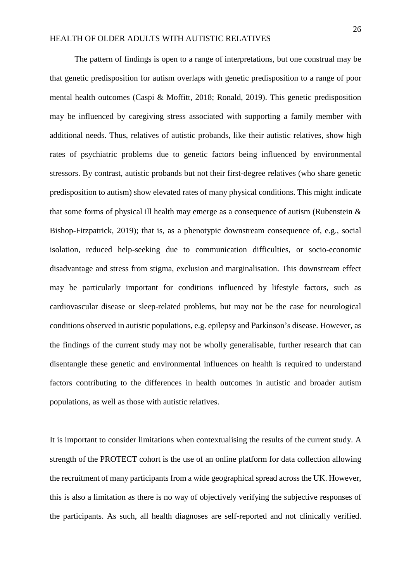The pattern of findings is open to a range of interpretations, but one construal may be that genetic predisposition for autism overlaps with genetic predisposition to a range of poor mental health outcomes (Caspi & Moffitt, 2018; Ronald, 2019). This genetic predisposition may be influenced by caregiving stress associated with supporting a family member with additional needs. Thus, relatives of autistic probands, like their autistic relatives, show high rates of psychiatric problems due to genetic factors being influenced by environmental stressors. By contrast, autistic probands but not their first-degree relatives (who share genetic predisposition to autism) show elevated rates of many physical conditions. This might indicate that some forms of physical ill health may emerge as a consequence of autism (Rubenstein  $\&$ Bishop-Fitzpatrick, 2019); that is, as a phenotypic downstream consequence of, e.g., social isolation, reduced help-seeking due to communication difficulties, or socio-economic disadvantage and stress from stigma, exclusion and marginalisation. This downstream effect may be particularly important for conditions influenced by lifestyle factors, such as cardiovascular disease or sleep-related problems, but may not be the case for neurological conditions observed in autistic populations, e.g. epilepsy and Parkinson's disease. However, as the findings of the current study may not be wholly generalisable, further research that can disentangle these genetic and environmental influences on health is required to understand factors contributing to the differences in health outcomes in autistic and broader autism populations, as well as those with autistic relatives.

It is important to consider limitations when contextualising the results of the current study. A strength of the PROTECT cohort is the use of an online platform for data collection allowing the recruitment of many participants from a wide geographical spread across the UK. However, this is also a limitation as there is no way of objectively verifying the subjective responses of the participants. As such, all health diagnoses are self-reported and not clinically verified.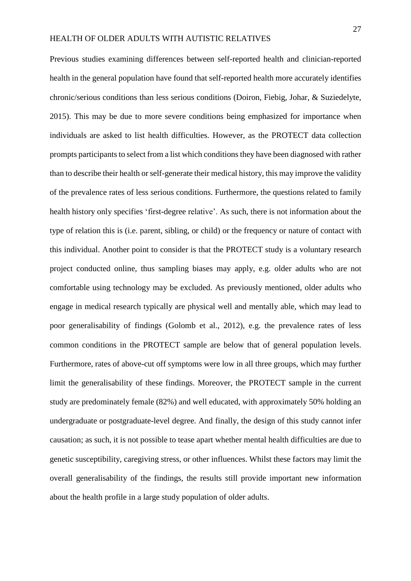Previous studies examining differences between self-reported health and clinician-reported health in the general population have found that self-reported health more accurately identifies chronic/serious conditions than less serious conditions (Doiron, Fiebig, Johar, & Suziedelyte, 2015). This may be due to more severe conditions being emphasized for importance when individuals are asked to list health difficulties. However, as the PROTECT data collection prompts participants to select from a list which conditions they have been diagnosed with rather than to describe their health orself-generate their medical history, this may improve the validity of the prevalence rates of less serious conditions. Furthermore, the questions related to family health history only specifies 'first-degree relative'. As such, there is not information about the type of relation this is (i.e. parent, sibling, or child) or the frequency or nature of contact with this individual. Another point to consider is that the PROTECT study is a voluntary research project conducted online, thus sampling biases may apply, e.g. older adults who are not comfortable using technology may be excluded. As previously mentioned, older adults who engage in medical research typically are physical well and mentally able, which may lead to poor generalisability of findings (Golomb et al., 2012), e.g. the prevalence rates of less common conditions in the PROTECT sample are below that of general population levels. Furthermore, rates of above-cut off symptoms were low in all three groups, which may further limit the generalisability of these findings. Moreover, the PROTECT sample in the current study are predominately female (82%) and well educated, with approximately 50% holding an undergraduate or postgraduate-level degree. And finally, the design of this study cannot infer causation; as such, it is not possible to tease apart whether mental health difficulties are due to genetic susceptibility, caregiving stress, or other influences. Whilst these factors may limit the overall generalisability of the findings, the results still provide important new information about the health profile in a large study population of older adults.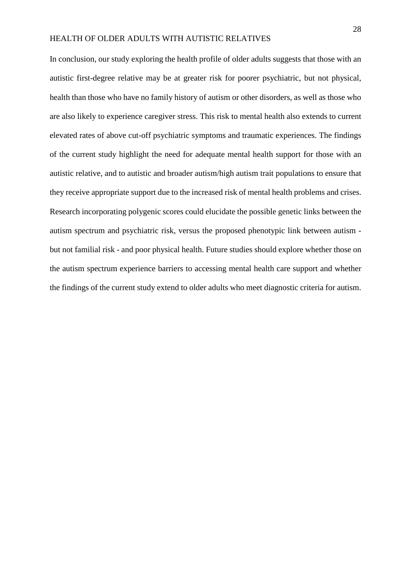In conclusion, our study exploring the health profile of older adults suggests that those with an autistic first-degree relative may be at greater risk for poorer psychiatric, but not physical, health than those who have no family history of autism or other disorders, as well as those who are also likely to experience caregiver stress. This risk to mental health also extends to current elevated rates of above cut-off psychiatric symptoms and traumatic experiences. The findings of the current study highlight the need for adequate mental health support for those with an autistic relative, and to autistic and broader autism/high autism trait populations to ensure that they receive appropriate support due to the increased risk of mental health problems and crises. Research incorporating polygenic scores could elucidate the possible genetic links between the autism spectrum and psychiatric risk, versus the proposed phenotypic link between autism but not familial risk - and poor physical health. Future studies should explore whether those on the autism spectrum experience barriers to accessing mental health care support and whether the findings of the current study extend to older adults who meet diagnostic criteria for autism.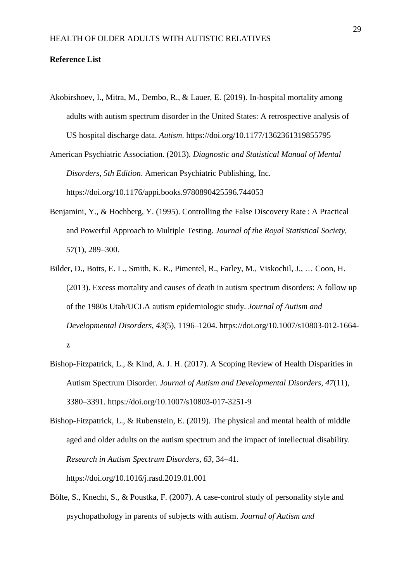#### **Reference List**

- Akobirshoev, I., Mitra, M., Dembo, R., & Lauer, E. (2019). In-hospital mortality among adults with autism spectrum disorder in the United States: A retrospective analysis of US hospital discharge data. *Autism*. https://doi.org/10.1177/1362361319855795
- American Psychiatric Association. (2013). *Diagnostic and Statistical Manual of Mental Disorders, 5th Edition*. American Psychiatric Publishing, Inc. https://doi.org/10.1176/appi.books.9780890425596.744053
- Benjamini, Y., & Hochberg, Y. (1995). Controlling the False Discovery Rate : A Practical and Powerful Approach to Multiple Testing. *Journal of the Royal Statistical Society*, *57*(1), 289–300.
- Bilder, D., Botts, E. L., Smith, K. R., Pimentel, R., Farley, M., Viskochil, J., … Coon, H. (2013). Excess mortality and causes of death in autism spectrum disorders: A follow up of the 1980s Utah/UCLA autism epidemiologic study. *Journal of Autism and Developmental Disorders*, *43*(5), 1196–1204. https://doi.org/10.1007/s10803-012-1664 z
- Bishop-Fitzpatrick, L., & Kind, A. J. H. (2017). A Scoping Review of Health Disparities in Autism Spectrum Disorder. *Journal of Autism and Developmental Disorders*, *47*(11), 3380–3391. https://doi.org/10.1007/s10803-017-3251-9

Bishop-Fitzpatrick, L., & Rubenstein, E. (2019). The physical and mental health of middle aged and older adults on the autism spectrum and the impact of intellectual disability. *Research in Autism Spectrum Disorders*, *63*, 34–41. https://doi.org/10.1016/j.rasd.2019.01.001

Bölte, S., Knecht, S., & Poustka, F. (2007). A case-control study of personality style and psychopathology in parents of subjects with autism. *Journal of Autism and*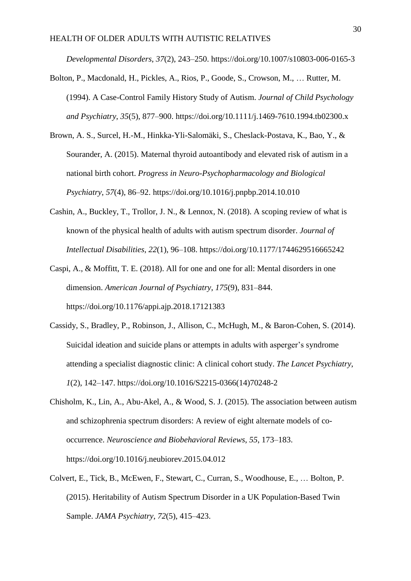*Developmental Disorders*, *37*(2), 243–250. https://doi.org/10.1007/s10803-006-0165-3

- Bolton, P., Macdonald, H., Pickles, A., Rios, P., Goode, S., Crowson, M., … Rutter, M. (1994). A Case-Control Family History Study of Autism. *Journal of Child Psychology and Psychiatry*, *35*(5), 877–900. https://doi.org/10.1111/j.1469-7610.1994.tb02300.x
- Brown, A. S., Surcel, H.-M., Hinkka-Yli-Salomäki, S., Cheslack-Postava, K., Bao, Y., & Sourander, A. (2015). Maternal thyroid autoantibody and elevated risk of autism in a national birth cohort. *Progress in Neuro-Psychopharmacology and Biological Psychiatry*, *57*(4), 86–92. https://doi.org/10.1016/j.pnpbp.2014.10.010
- Cashin, A., Buckley, T., Trollor, J. N., & Lennox, N. (2018). A scoping review of what is known of the physical health of adults with autism spectrum disorder. *Journal of Intellectual Disabilities*, *22*(1), 96–108. https://doi.org/10.1177/1744629516665242
- Caspi, A., & Moffitt, T. E. (2018). All for one and one for all: Mental disorders in one dimension. *American Journal of Psychiatry*, *175*(9), 831–844. https://doi.org/10.1176/appi.ajp.2018.17121383
- Cassidy, S., Bradley, P., Robinson, J., Allison, C., McHugh, M., & Baron-Cohen, S. (2014). Suicidal ideation and suicide plans or attempts in adults with asperger's syndrome attending a specialist diagnostic clinic: A clinical cohort study. *The Lancet Psychiatry*, *1*(2), 142–147. https://doi.org/10.1016/S2215-0366(14)70248-2
- Chisholm, K., Lin, A., Abu-Akel, A., & Wood, S. J. (2015). The association between autism and schizophrenia spectrum disorders: A review of eight alternate models of cooccurrence. *Neuroscience and Biobehavioral Reviews*, *55*, 173–183. https://doi.org/10.1016/j.neubiorev.2015.04.012
- Colvert, E., Tick, B., McEwen, F., Stewart, C., Curran, S., Woodhouse, E., … Bolton, P. (2015). Heritability of Autism Spectrum Disorder in a UK Population-Based Twin Sample. *JAMA Psychiatry*, *72*(5), 415–423.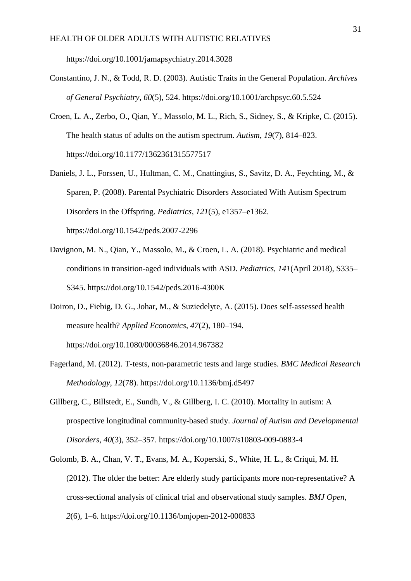https://doi.org/10.1001/jamapsychiatry.2014.3028

- Constantino, J. N., & Todd, R. D. (2003). Autistic Traits in the General Population. *Archives of General Psychiatry*, *60*(5), 524. https://doi.org/10.1001/archpsyc.60.5.524
- Croen, L. A., Zerbo, O., Qian, Y., Massolo, M. L., Rich, S., Sidney, S., & Kripke, C. (2015). The health status of adults on the autism spectrum. *Autism*, *19*(7), 814–823. https://doi.org/10.1177/1362361315577517
- Daniels, J. L., Forssen, U., Hultman, C. M., Cnattingius, S., Savitz, D. A., Feychting, M., & Sparen, P. (2008). Parental Psychiatric Disorders Associated With Autism Spectrum Disorders in the Offspring. *Pediatrics*, *121*(5), e1357–e1362. https://doi.org/10.1542/peds.2007-2296
- Davignon, M. N., Qian, Y., Massolo, M., & Croen, L. A. (2018). Psychiatric and medical conditions in transition-aged individuals with ASD. *Pediatrics*, *141*(April 2018), S335– S345. https://doi.org/10.1542/peds.2016-4300K
- Doiron, D., Fiebig, D. G., Johar, M., & Suziedelyte, A. (2015). Does self-assessed health measure health? *Applied Economics*, *47*(2), 180–194. https://doi.org/10.1080/00036846.2014.967382
- Fagerland, M. (2012). T-tests, non-parametric tests and large studies. *BMC Medical Research Methodology*, *12*(78). https://doi.org/10.1136/bmj.d5497
- Gillberg, C., Billstedt, E., Sundh, V., & Gillberg, I. C. (2010). Mortality in autism: A prospective longitudinal community-based study. *Journal of Autism and Developmental Disorders*, *40*(3), 352–357. https://doi.org/10.1007/s10803-009-0883-4
- Golomb, B. A., Chan, V. T., Evans, M. A., Koperski, S., White, H. L., & Criqui, M. H. (2012). The older the better: Are elderly study participants more non-representative? A cross-sectional analysis of clinical trial and observational study samples. *BMJ Open*, *2*(6), 1–6. https://doi.org/10.1136/bmjopen-2012-000833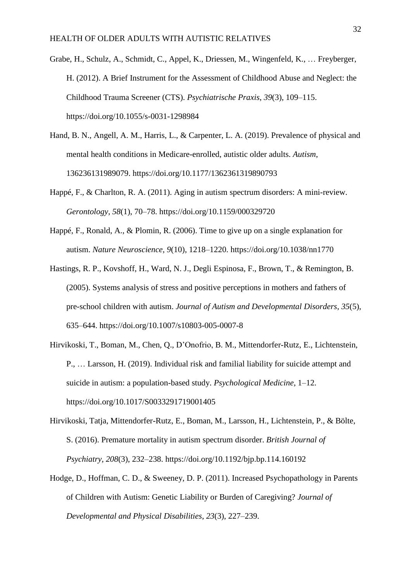- Grabe, H., Schulz, A., Schmidt, C., Appel, K., Driessen, M., Wingenfeld, K., … Freyberger, H. (2012). A Brief Instrument for the Assessment of Childhood Abuse and Neglect: the Childhood Trauma Screener (CTS). *Psychiatrische Praxis*, *39*(3), 109–115. https://doi.org/10.1055/s-0031-1298984
- Hand, B. N., Angell, A. M., Harris, L., & Carpenter, L. A. (2019). Prevalence of physical and mental health conditions in Medicare-enrolled, autistic older adults. *Autism*, 136236131989079. https://doi.org/10.1177/1362361319890793
- Happé, F., & Charlton, R. A. (2011). Aging in autism spectrum disorders: A mini-review. *Gerontology*, *58*(1), 70–78. https://doi.org/10.1159/000329720
- Happé, F., Ronald, A., & Plomin, R. (2006). Time to give up on a single explanation for autism. *Nature Neuroscience*, *9*(10), 1218–1220. https://doi.org/10.1038/nn1770
- Hastings, R. P., Kovshoff, H., Ward, N. J., Degli Espinosa, F., Brown, T., & Remington, B. (2005). Systems analysis of stress and positive perceptions in mothers and fathers of pre-school children with autism. *Journal of Autism and Developmental Disorders*, *35*(5), 635–644. https://doi.org/10.1007/s10803-005-0007-8
- Hirvikoski, T., Boman, M., Chen, Q., D'Onofrio, B. M., Mittendorfer-Rutz, E., Lichtenstein, P., … Larsson, H. (2019). Individual risk and familial liability for suicide attempt and suicide in autism: a population-based study. *Psychological Medicine*, 1–12. https://doi.org/10.1017/S0033291719001405
- Hirvikoski, Tatja, Mittendorfer-Rutz, E., Boman, M., Larsson, H., Lichtenstein, P., & Bölte, S. (2016). Premature mortality in autism spectrum disorder. *British Journal of Psychiatry*, *208*(3), 232–238. https://doi.org/10.1192/bjp.bp.114.160192
- Hodge, D., Hoffman, C. D., & Sweeney, D. P. (2011). Increased Psychopathology in Parents of Children with Autism: Genetic Liability or Burden of Caregiving? *Journal of Developmental and Physical Disabilities*, *23*(3), 227–239.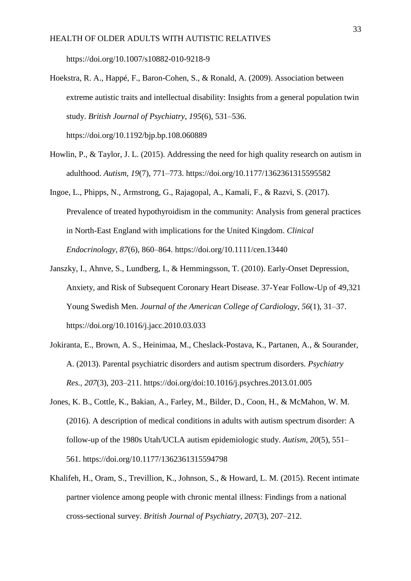https://doi.org/10.1007/s10882-010-9218-9

- Hoekstra, R. A., Happé, F., Baron-Cohen, S., & Ronald, A. (2009). Association between extreme autistic traits and intellectual disability: Insights from a general population twin study. *British Journal of Psychiatry*, *195*(6), 531–536. https://doi.org/10.1192/bjp.bp.108.060889
- Howlin, P., & Taylor, J. L. (2015). Addressing the need for high quality research on autism in adulthood. *Autism*, *19*(7), 771–773. https://doi.org/10.1177/1362361315595582
- Ingoe, L., Phipps, N., Armstrong, G., Rajagopal, A., Kamali, F., & Razvi, S. (2017). Prevalence of treated hypothyroidism in the community: Analysis from general practices in North-East England with implications for the United Kingdom. *Clinical Endocrinology*, *87*(6), 860–864. https://doi.org/10.1111/cen.13440
- Janszky, I., Ahnve, S., Lundberg, I., & Hemmingsson, T. (2010). Early-Onset Depression, Anxiety, and Risk of Subsequent Coronary Heart Disease. 37-Year Follow-Up of 49,321 Young Swedish Men. *Journal of the American College of Cardiology*, *56*(1), 31–37. https://doi.org/10.1016/j.jacc.2010.03.033
- Jokiranta, E., Brown, A. S., Heinimaa, M., Cheslack-Postava, K., Partanen, A., & Sourander, A. (2013). Parental psychiatric disorders and autism spectrum disorders. *Psychiatry Res.*, *207*(3), 203–211. https://doi.org/doi:10.1016/j.psychres.2013.01.005
- Jones, K. B., Cottle, K., Bakian, A., Farley, M., Bilder, D., Coon, H., & McMahon, W. M. (2016). A description of medical conditions in adults with autism spectrum disorder: A follow-up of the 1980s Utah/UCLA autism epidemiologic study. *Autism*, *20*(5), 551– 561. https://doi.org/10.1177/1362361315594798
- Khalifeh, H., Oram, S., Trevillion, K., Johnson, S., & Howard, L. M. (2015). Recent intimate partner violence among people with chronic mental illness: Findings from a national cross-sectional survey. *British Journal of Psychiatry*, *207*(3), 207–212.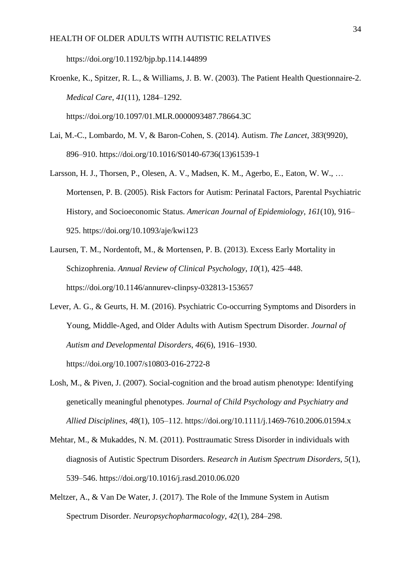https://doi.org/10.1192/bjp.bp.114.144899

- Kroenke, K., Spitzer, R. L., & Williams, J. B. W. (2003). The Patient Health Questionnaire-2. *Medical Care*, *41*(11), 1284–1292. https://doi.org/10.1097/01.MLR.0000093487.78664.3C
- Lai, M.-C., Lombardo, M. V, & Baron-Cohen, S. (2014). Autism. *The Lancet*, *383*(9920), 896–910. https://doi.org/10.1016/S0140-6736(13)61539-1
- Larsson, H. J., Thorsen, P., Olesen, A. V., Madsen, K. M., Agerbo, E., Eaton, W. W., … Mortensen, P. B. (2005). Risk Factors for Autism: Perinatal Factors, Parental Psychiatric History, and Socioeconomic Status. *American Journal of Epidemiology*, *161*(10), 916– 925. https://doi.org/10.1093/aje/kwi123
- Laursen, T. M., Nordentoft, M., & Mortensen, P. B. (2013). Excess Early Mortality in Schizophrenia. *Annual Review of Clinical Psychology*, *10*(1), 425–448. https://doi.org/10.1146/annurev-clinpsy-032813-153657
- Lever, A. G., & Geurts, H. M. (2016). Psychiatric Co-occurring Symptoms and Disorders in Young, Middle-Aged, and Older Adults with Autism Spectrum Disorder. *Journal of Autism and Developmental Disorders*, *46*(6), 1916–1930. https://doi.org/10.1007/s10803-016-2722-8
- Losh, M., & Piven, J. (2007). Social-cognition and the broad autism phenotype: Identifying genetically meaningful phenotypes. *Journal of Child Psychology and Psychiatry and Allied Disciplines*, *48*(1), 105–112. https://doi.org/10.1111/j.1469-7610.2006.01594.x
- Mehtar, M., & Mukaddes, N. M. (2011). Posttraumatic Stress Disorder in individuals with diagnosis of Autistic Spectrum Disorders. *Research in Autism Spectrum Disorders*, *5*(1), 539–546. https://doi.org/10.1016/j.rasd.2010.06.020
- Meltzer, A., & Van De Water, J. (2017). The Role of the Immune System in Autism Spectrum Disorder. *Neuropsychopharmacology*, *42*(1), 284–298.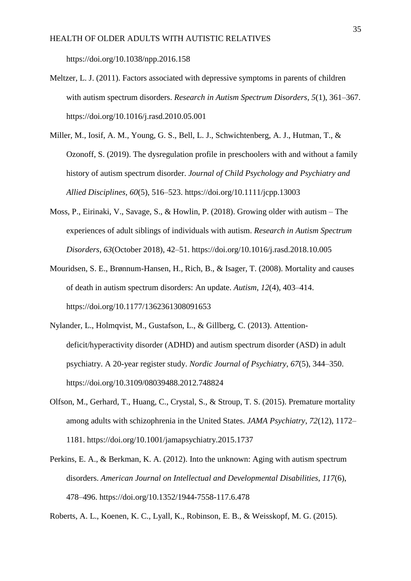https://doi.org/10.1038/npp.2016.158

- Meltzer, L. J. (2011). Factors associated with depressive symptoms in parents of children with autism spectrum disorders. *Research in Autism Spectrum Disorders*, *5*(1), 361–367. https://doi.org/10.1016/j.rasd.2010.05.001
- Miller, M., Iosif, A. M., Young, G. S., Bell, L. J., Schwichtenberg, A. J., Hutman, T., & Ozonoff, S. (2019). The dysregulation profile in preschoolers with and without a family history of autism spectrum disorder. *Journal of Child Psychology and Psychiatry and Allied Disciplines*, *60*(5), 516–523. https://doi.org/10.1111/jcpp.13003
- Moss, P., Eirinaki, V., Savage, S., & Howlin, P. (2018). Growing older with autism The experiences of adult siblings of individuals with autism. *Research in Autism Spectrum Disorders*, *63*(October 2018), 42–51. https://doi.org/10.1016/j.rasd.2018.10.005
- Mouridsen, S. E., Brønnum-Hansen, H., Rich, B., & Isager, T. (2008). Mortality and causes of death in autism spectrum disorders: An update. *Autism*, *12*(4), 403–414. https://doi.org/10.1177/1362361308091653
- Nylander, L., Holmqvist, M., Gustafson, L., & Gillberg, C. (2013). Attentiondeficit/hyperactivity disorder (ADHD) and autism spectrum disorder (ASD) in adult psychiatry. A 20-year register study. *Nordic Journal of Psychiatry*, *67*(5), 344–350. https://doi.org/10.3109/08039488.2012.748824
- Olfson, M., Gerhard, T., Huang, C., Crystal, S., & Stroup, T. S. (2015). Premature mortality among adults with schizophrenia in the United States. *JAMA Psychiatry*, *72*(12), 1172– 1181. https://doi.org/10.1001/jamapsychiatry.2015.1737
- Perkins, E. A., & Berkman, K. A. (2012). Into the unknown: Aging with autism spectrum disorders. *American Journal on Intellectual and Developmental Disabilities*, *117*(6), 478–496. https://doi.org/10.1352/1944-7558-117.6.478

Roberts, A. L., Koenen, K. C., Lyall, K., Robinson, E. B., & Weisskopf, M. G. (2015).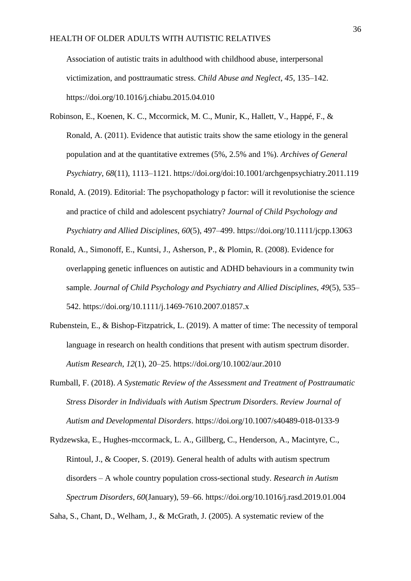Association of autistic traits in adulthood with childhood abuse, interpersonal victimization, and posttraumatic stress. *Child Abuse and Neglect*, *45*, 135–142. https://doi.org/10.1016/j.chiabu.2015.04.010

- Robinson, E., Koenen, K. C., Mccormick, M. C., Munir, K., Hallett, V., Happé, F., & Ronald, A. (2011). Evidence that autistic traits show the same etiology in the general population and at the quantitative extremes (5%, 2.5% and 1%). *Archives of General Psychiatry*, *68*(11), 1113–1121. https://doi.org/doi:10.1001/archgenpsychiatry.2011.119
- Ronald, A. (2019). Editorial: The psychopathology p factor: will it revolutionise the science and practice of child and adolescent psychiatry? *Journal of Child Psychology and Psychiatry and Allied Disciplines*, *60*(5), 497–499. https://doi.org/10.1111/jcpp.13063
- Ronald, A., Simonoff, E., Kuntsi, J., Asherson, P., & Plomin, R. (2008). Evidence for overlapping genetic influences on autistic and ADHD behaviours in a community twin sample. *Journal of Child Psychology and Psychiatry and Allied Disciplines*, *49*(5), 535– 542. https://doi.org/10.1111/j.1469-7610.2007.01857.x
- Rubenstein, E., & Bishop-Fitzpatrick, L. (2019). A matter of time: The necessity of temporal language in research on health conditions that present with autism spectrum disorder. *Autism Research*, *12*(1), 20–25. https://doi.org/10.1002/aur.2010
- Rumball, F. (2018). *A Systematic Review of the Assessment and Treatment of Posttraumatic Stress Disorder in Individuals with Autism Spectrum Disorders*. *Review Journal of Autism and Developmental Disorders*. https://doi.org/10.1007/s40489-018-0133-9
- Rydzewska, E., Hughes-mccormack, L. A., Gillberg, C., Henderson, A., Macintyre, C., Rintoul, J., & Cooper, S. (2019). General health of adults with autism spectrum disorders – A whole country population cross-sectional study. *Research in Autism Spectrum Disorders*, *60*(January), 59–66. https://doi.org/10.1016/j.rasd.2019.01.004

Saha, S., Chant, D., Welham, J., & McGrath, J. (2005). A systematic review of the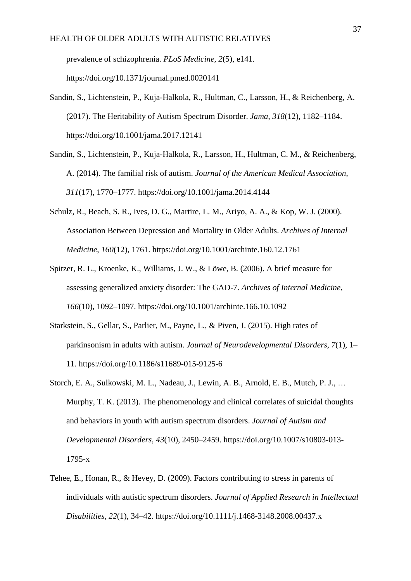prevalence of schizophrenia. *PLoS Medicine*, *2*(5), e141. https://doi.org/10.1371/journal.pmed.0020141

- Sandin, S., Lichtenstein, P., Kuja-Halkola, R., Hultman, C., Larsson, H., & Reichenberg, A. (2017). The Heritability of Autism Spectrum Disorder. *Jama*, *318*(12), 1182–1184. https://doi.org/10.1001/jama.2017.12141
- Sandin, S., Lichtenstein, P., Kuja-Halkola, R., Larsson, H., Hultman, C. M., & Reichenberg, A. (2014). The familial risk of autism. *Journal of the American Medical Association*, *311*(17), 1770–1777. https://doi.org/10.1001/jama.2014.4144
- Schulz, R., Beach, S. R., Ives, D. G., Martire, L. M., Ariyo, A. A., & Kop, W. J. (2000). Association Between Depression and Mortality in Older Adults. *Archives of Internal Medicine*, *160*(12), 1761. https://doi.org/10.1001/archinte.160.12.1761
- Spitzer, R. L., Kroenke, K., Williams, J. W., & Löwe, B. (2006). A brief measure for assessing generalized anxiety disorder: The GAD-7. *Archives of Internal Medicine*, *166*(10), 1092–1097. https://doi.org/10.1001/archinte.166.10.1092
- Starkstein, S., Gellar, S., Parlier, M., Payne, L., & Piven, J. (2015). High rates of parkinsonism in adults with autism. *Journal of Neurodevelopmental Disorders*, *7*(1), 1– 11. https://doi.org/10.1186/s11689-015-9125-6
- Storch, E. A., Sulkowski, M. L., Nadeau, J., Lewin, A. B., Arnold, E. B., Mutch, P. J., … Murphy, T. K. (2013). The phenomenology and clinical correlates of suicidal thoughts and behaviors in youth with autism spectrum disorders. *Journal of Autism and Developmental Disorders*, *43*(10), 2450–2459. https://doi.org/10.1007/s10803-013- 1795-x
- Tehee, E., Honan, R., & Hevey, D. (2009). Factors contributing to stress in parents of individuals with autistic spectrum disorders. *Journal of Applied Research in Intellectual Disabilities*, *22*(1), 34–42. https://doi.org/10.1111/j.1468-3148.2008.00437.x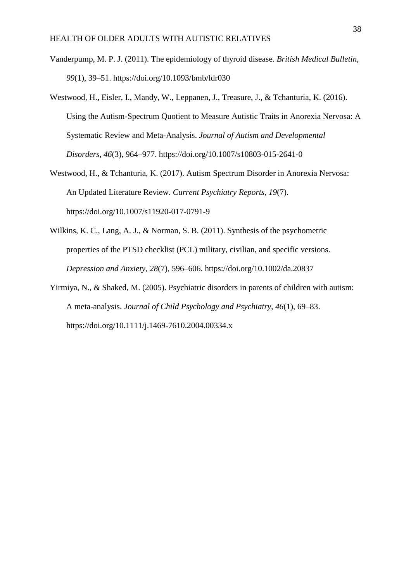- Vanderpump, M. P. J. (2011). The epidemiology of thyroid disease. *British Medical Bulletin*, *99*(1), 39–51. https://doi.org/10.1093/bmb/ldr030
- Westwood, H., Eisler, I., Mandy, W., Leppanen, J., Treasure, J., & Tchanturia, K. (2016). Using the Autism-Spectrum Quotient to Measure Autistic Traits in Anorexia Nervosa: A Systematic Review and Meta-Analysis. *Journal of Autism and Developmental Disorders*, *46*(3), 964–977. https://doi.org/10.1007/s10803-015-2641-0
- Westwood, H., & Tchanturia, K. (2017). Autism Spectrum Disorder in Anorexia Nervosa: An Updated Literature Review. *Current Psychiatry Reports*, *19*(7). https://doi.org/10.1007/s11920-017-0791-9
- Wilkins, K. C., Lang, A. J., & Norman, S. B. (2011). Synthesis of the psychometric properties of the PTSD checklist (PCL) military, civilian, and specific versions. *Depression and Anxiety*, *28*(7), 596–606. https://doi.org/10.1002/da.20837
- Yirmiya, N., & Shaked, M. (2005). Psychiatric disorders in parents of children with autism: A meta-analysis. *Journal of Child Psychology and Psychiatry*, *46*(1), 69–83. https://doi.org/10.1111/j.1469-7610.2004.00334.x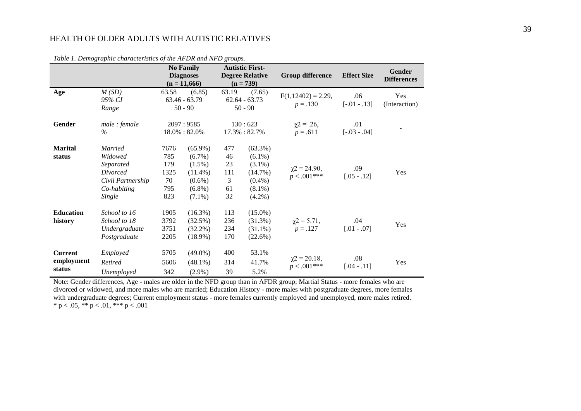|                  | cable 1. Demographic enaracteristics of the 1H DR and 1H D groups. |                              | <b>No Family</b> |       | <b>Autistic First-</b> |                                    |                    | Gender             |  |
|------------------|--------------------------------------------------------------------|------------------------------|------------------|-------|------------------------|------------------------------------|--------------------|--------------------|--|
|                  |                                                                    |                              | <b>Diagnoses</b> |       | <b>Degree Relative</b> | <b>Group difference</b>            | <b>Effect Size</b> | <b>Differences</b> |  |
|                  |                                                                    |                              | $(n = 11,666)$   |       | $(n = 739)$            |                                    |                    |                    |  |
| Age              | M(SD)                                                              | 63.58                        | (6.85)           | 63.19 | (7.65)                 | $F(1,12402) = 2.29$ ,              | .06                | Yes                |  |
|                  | 95% CI                                                             | $63.46 - 63.79$<br>$50 - 90$ |                  |       | $62.64 - 63.73$        | $p = .130$                         | $[-.01-.13]$       | (Interaction)      |  |
|                  | Range                                                              |                              |                  |       | $50 - 90$              |                                    |                    |                    |  |
| Gender           | male: female                                                       |                              | 2097:9585        |       | 130:623                | $\chi$ 2 = .26,                    | .01                |                    |  |
|                  | $\%$                                                               |                              | 18.0% : 82.0%    |       | 17.3%: 82.7%           | $p = .611$                         | $[-.03 - .04]$     |                    |  |
| <b>Marital</b>   | <b>Married</b>                                                     | 7676                         | $(65.9\%)$       | 477   | $(63.3\%)$             |                                    |                    |                    |  |
| status           | Widowed                                                            | 785                          | $(6.7\%)$        | 46    | $(6.1\%)$              |                                    |                    |                    |  |
|                  | Separated                                                          | 179                          | $(1.5\%)$        | 23    | $(3.1\%)$              |                                    |                    |                    |  |
|                  | Divorced                                                           | 1325                         | $(11.4\%)$       | 111   | (14.7%)                | $\chi$ 2 = 24.90,                  | .09                | Yes                |  |
|                  | Civil Partnership                                                  | 70                           | $(0.6\%)$        | 3     | $(0.4\%)$              | $p < .001***$                      | $[.05-.12]$        |                    |  |
|                  | Co-habiting                                                        | 795                          | $(6.8\%)$        | 61    | $(8.1\%)$              |                                    |                    |                    |  |
|                  | Single                                                             | 823                          | $(7.1\%)$        | 32    | $(4.2\%)$              |                                    |                    |                    |  |
| <b>Education</b> | School to 16                                                       | 1905                         | $(16.3\%)$       | 113   | $(15.0\%)$             |                                    |                    |                    |  |
|                  |                                                                    |                              |                  |       |                        |                                    |                    |                    |  |
| history          | School to 18                                                       | 3792                         | (32.5%)          | 236   | (31.3%)                | $\chi$ 2 = 5.71,                   | .04                | Yes                |  |
|                  | Undergraduate                                                      | 3751                         | $(32.2\%)$       | 234   | $(31.1\%)$             | $p=.127$                           | $[.01-.07]$        |                    |  |
|                  | Postgraduate                                                       | 2205                         | $(18.9\%)$       | 170   | (22.6%)                |                                    |                    |                    |  |
| <b>Current</b>   | Employed                                                           | 5705                         | $(49.0\%)$       | 400   | 53.1%                  |                                    |                    |                    |  |
| employment       | Retired                                                            | 5606                         | $(48.1\%)$       | 314   | 41.7%                  | $\chi$ 2 = 20.18,<br>$p < .001***$ | .08<br>$[.04-.11]$ | Yes                |  |
| status           | Unemployed                                                         | 342                          | $(2.9\%)$        | 39    | 5.2%                   |                                    |                    |                    |  |

*Table 1. Demographic characteristics of the AFDR and NFD groups.*

Note: Gender differences, Age - males are older in the NFD group than in AFDR group; Martial Status - more females who are divorced or widowed, and more males who are married; Education History - more males with postgraduate degrees, more females with undergraduate degrees; Current employment status - more females currently employed and unemployed, more males retired. \* p < .05, \*\* p < .01, \*\*\* p < .001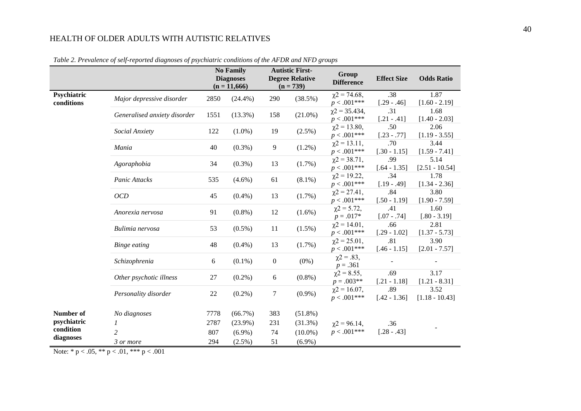|                           |                              |      | <b>No Family</b><br><b>Diagnoses</b><br>$(n = 11,666)$ |                  | <b>Autistic First-</b><br><b>Degree Relative</b><br>$(n = 739)$ | Group<br><b>Difference</b>            | <b>Effect Size</b>    | <b>Odds Ratio</b>        |
|---------------------------|------------------------------|------|--------------------------------------------------------|------------------|-----------------------------------------------------------------|---------------------------------------|-----------------------|--------------------------|
| Psychiatric<br>conditions | Major depressive disorder    | 2850 | $(24.4\%)$                                             | 290              | (38.5%)                                                         | $\chi$ 2 = 74.68,<br>$p < .001***$    | .38<br>$[.29-.46]$    | 1.87<br>$[1.60 - 2.19]$  |
|                           | Generalised anxiety disorder | 1551 | $(13.3\%)$                                             | 158              | $(21.0\%)$                                                      | $\chi$ 2 = 35.434,<br>$p < .001***$   | .31<br>$[.21-.41]$    | 1.68<br>$[1.40 - 2.03]$  |
|                           | Social Anxiety               | 122  | $(1.0\%)$                                              | 19               | (2.5%)                                                          | $\chi$ 2 = 13.80,<br>$p < .001***$    | .50<br>$[.23-.77]$    | 2.06<br>$[1.19 - 3.55]$  |
|                           | Mania                        | 40   | $(0.3\%)$                                              | 9                | $(1.2\%)$                                                       | $\chi$ 2 = 13.11,<br>$p < .001***$    | .70<br>$[.30 - 1.15]$ | 3.44<br>$[1.59 - 7.41]$  |
|                           | Agoraphobia                  | 34   | $(0.3\%)$                                              | 13               | $(1.7\%)$                                                       | $\chi$ 2 = 38.71,<br>$p < .001***$    | .99<br>$[.64 - 1.35]$ | 5.14<br>$[2.51 - 10.54]$ |
|                           | Panic Attacks                | 535  | $(4.6\%)$                                              | 61               | $(8.1\%)$                                                       | $\chi$ 2 = 19.22,<br>$p < .001***$    | .34<br>$[.19 - .49]$  | 1.78<br>$[1.34 - 2.36]$  |
|                           | OCD                          | 45   | $(0.4\%)$                                              | 13               | $(1.7\%)$                                                       | $\gamma$ 2 = 27.41,<br>$p < .001***$  | .84<br>$[.50 - 1.19]$ | 3.80<br>$[1.90 - 7.59]$  |
|                           | Anorexia nervosa             | 91   | $(0.8\%)$                                              | 12               | $(1.6\%)$                                                       | $\chi$ 2 = 5.72,<br>$p = .017*$       | .41<br>$[.07 - .74]$  | 1.60<br>$[.80 - 3.19]$   |
|                           | Bulimia nervosa              | 53   | $(0.5\%)$                                              | 11               | $(1.5\%)$                                                       | $\chi$ 2 = 14.01,<br>$p < .001***$    | .66<br>$[.29 - 1.02]$ | 2.81<br>$[1.37 - 5.73]$  |
|                           | <b>Binge eating</b>          | 48   | $(0.4\%)$                                              | 13               | $(1.7\%)$                                                       | $\chi$ 2 = 25.01,<br>$p < .001***$    | .81<br>$[.46 - 1.15]$ | 3.90<br>$[2.01 - 7.57]$  |
|                           | Schizophrenia                | 6    | $(0.1\%)$                                              | $\boldsymbol{0}$ | $(0\%)$                                                         | $\chi$ 2 = .83,<br>$p = .361$         |                       |                          |
|                           | Other psychotic illness      | 27   | $(0.2\%)$                                              | 6                | $(0.8\%)$                                                       | $\chi$ 2 = 8.55,<br>$p=.003**$        | .69<br>$[.21 - 1.18]$ | 3.17<br>$[1.21 - 8.31]$  |
|                           | Personality disorder         | 22   | $(0.2\%)$                                              | $\tau$           | $(0.9\%)$                                                       | $\gamma$ 2 = 16.07,<br>$p < .001$ *** | .89<br>$[.42 - 1.36]$ | 3.52<br>$[1.18 - 10.43]$ |
| Number of                 | No diagnoses                 | 7778 | $(66.7\%)$                                             | 383              | $(51.8\%)$                                                      |                                       |                       |                          |
| psychiatric               | 1                            | 2787 | $(23.9\%)$                                             | 231              | $(31.3\%)$                                                      | $\chi$ 2 = 96.14,                     | .36                   |                          |
| condition<br>diagnoses    | $\overline{c}$               | 807  | $(6.9\%)$                                              | 74               | $(10.0\%)$                                                      | $p < .001$ ***                        | $[.28-.43]$           |                          |
|                           | 3 or more                    | 294  | $(2.5\%)$                                              | 51               | $(6.9\%)$                                                       |                                       |                       |                          |

*Table 2. Prevalence of self-reported diagnoses of psychiatric conditions of the AFDR and NFD groups*

Note: \*  $p < .05$ , \*\*  $p < .01$ , \*\*\*  $p < .001$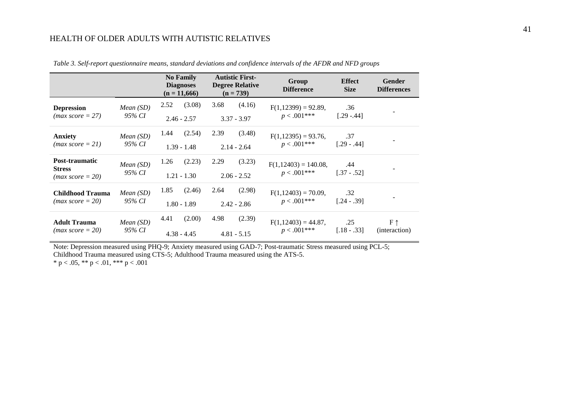|                                                       |                              | <b>No Family</b><br><b>Autistic First-</b><br><b>Diagnoses</b><br><b>Degree Relative</b><br>$(n = 11,666)$<br>$(n = 739)$ |                         | Group<br><b>Difference</b>              | <b>Effect</b><br><b>Size</b> | Gender<br><b>Differences</b>             |                      |                               |
|-------------------------------------------------------|------------------------------|---------------------------------------------------------------------------------------------------------------------------|-------------------------|-----------------------------------------|------------------------------|------------------------------------------|----------------------|-------------------------------|
| <b>Depression</b><br>$(max score = 27)$               | <i>Mean</i> $(SD)$<br>95% CI | (3.08)<br>2.52<br>3.68<br>(4.16)<br>$3.37 - 3.97$<br>$2.46 - 2.57$                                                        |                         | $F(1,12399) = 92.89$ ,<br>$p < .001***$ | .36<br>$[.29-.44]$           |                                          |                      |                               |
| <b>Anxiety</b><br>$(max score = 21)$                  | Mean(SD)<br>95% CI           | 1.44                                                                                                                      | (2.54)<br>$1.39 - 1.48$ | 2.39                                    | (3.48)<br>$2.14 - 2.64$      | $F(1,12395) = 93.76$ ,<br>$p < .001***$  | .37<br>$[.29-.44]$   |                               |
| Post-traumatic<br><b>Stress</b><br>$(max score = 20)$ | Mean(SD)<br>95% CI           | 1.26                                                                                                                      | (2.23)<br>$1.21 - 1.30$ | 2.29                                    | (3.23)<br>$2.06 - 2.52$      | $F(1,12403) = 140.08$ ,<br>$p < .001***$ | .44<br>$[.37 - .52]$ |                               |
| <b>Childhood Trauma</b><br>$(max score = 20)$         | Mean(SD)<br>95% CI           | 1.85                                                                                                                      | (2.46)<br>$1.80 - 1.89$ | 2.64                                    | (2.98)<br>$2.42 - 2.86$      | $F(1,12403) = 70.09$ ,<br>$p < .001***$  | .32<br>$[.24-.39]$   |                               |
| <b>Adult Trauma</b><br>$(max score = 20)$             | Mean(SD)<br>95% CI           | 4.41                                                                                                                      | (2.00)<br>$4.38 - 4.45$ | 4.98                                    | (2.39)<br>$4.81 - 5.15$      | $F(1,12403) = 44.87$ ,<br>$p < .001***$  | .25<br>$[.18 - .33]$ | $F \uparrow$<br>(interaction) |

*Table 3. Self-report questionnaire means, standard deviations and confidence intervals of the AFDR and NFD groups*

Note: Depression measured using PHQ-9; Anxiety measured using GAD-7; Post-traumatic Stress measured using PCL-5; Childhood Trauma measured using CTS-5; Adulthood Trauma measured using the ATS-5. \* p < .05, \*\* p < .01, \*\*\* p < .001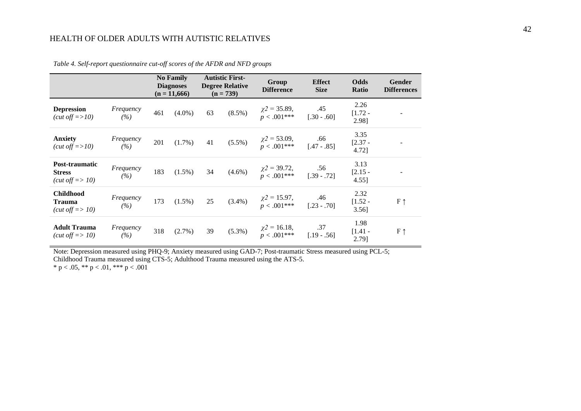|                                                                 |                  |     | <b>No Family</b><br><b>Diagnoses</b><br>$(n = 11,666)$ |    | <b>Autistic First-</b><br><b>Degree Relative</b><br>$(n = 739)$ | Group<br><b>Difference</b>                                     | <b>Effect</b><br><b>Size</b> | Odds<br>Ratio                 | <b>Gender</b><br><b>Differences</b> |
|-----------------------------------------------------------------|------------------|-----|--------------------------------------------------------|----|-----------------------------------------------------------------|----------------------------------------------------------------|------------------------------|-------------------------------|-------------------------------------|
| <b>Depression</b><br>(cut off $\approx$ 10)                     | Frequency<br>(%) | 461 | $(4.0\%)$                                              | 63 | $(8.5\%)$                                                       | $\chi$ 2 = 35.89,<br>$p < .001***$                             | .45<br>$[.30-.60]$           | 2.26<br>$[1.72 -$<br>2.98]    |                                     |
| <b>Anxiety</b><br>(cut off $\approx$ 10)                        | Frequency<br>(%) | 201 | $(1.7\%)$                                              | 41 | $(5.5\%)$                                                       | $\chi^2 = 53.09,$<br>$p < .001***$                             | .66<br>$[.47-.85]$           | 3.35<br>$[2.37 -$<br>4.72]    |                                     |
| Post-traumatic<br><b>Stress</b><br>(cut off $\Rightarrow$ 10)   | Frequency<br>(%) | 183 | $(1.5\%)$                                              | 34 | $(4.6\%)$                                                       | $\chi$ 2 = 39.72,<br>$p < .001***$                             | .56<br>$[.39 - .72]$         | 3.13<br>$[2.15 -$<br>4.55]    |                                     |
| <b>Childhood</b><br><b>Trauma</b><br>(cut off $\Rightarrow$ 10) | Frequency<br>(%) | 173 | $(1.5\%)$                                              | 25 | $(3.4\%)$                                                       | $\chi^2 = 15.97,$<br>$p < .001***$                             | .46<br>$[.23-.70]$           | 2.32<br>$[1.52 -$<br>$3.56$ ] | $F \uparrow$                        |
| <b>Adult Trauma</b><br>(cut off $\Rightarrow$ 10)               | Frequency<br>(%) | 318 | $(2.7\%)$                                              | 39 | $(5.3\%)$                                                       | $\chi$ <sup>2</sup> = 16.18,<br>$\sum_{n=0}^{\infty} 0.01$ *** | .37<br>$[.19 - .56]$         | 1.98<br>$[1.41 -$<br>2.79]    | $F \uparrow$                        |

*Table 4. Self-report questionnaire cut-off scores of the AFDR and NFD groups*

Note: Depression measured using PHQ-9; Anxiety measured using GAD-7; Post-traumatic Stress measured using PCL-5; Childhood Trauma measured using CTS-5; Adulthood Trauma measured using the ATS-5.

 $*$  p < .05,  $**$  p < .01,  $***$  p < .001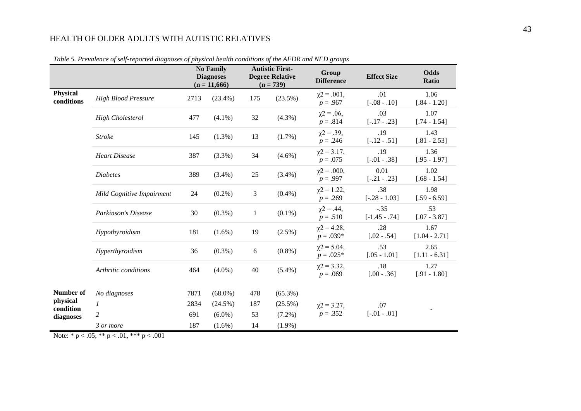|                               |                            |      | <b>No Family</b><br><b>Diagnoses</b><br>$(n = 11,666)$ |              | <b>Autistic First-</b><br><b>Degree Relative</b><br>$(n = 739)$ | Group<br><b>Difference</b>        | <b>Effect Size</b>      | <b>Odds</b><br><b>Ratio</b> |
|-------------------------------|----------------------------|------|--------------------------------------------------------|--------------|-----------------------------------------------------------------|-----------------------------------|-------------------------|-----------------------------|
| <b>Physical</b><br>conditions | <b>High Blood Pressure</b> | 2713 | $(23.4\%)$                                             | 175          | $(23.5\%)$                                                      | $\chi$ 2 = .001,<br>$p = .967$    | .01<br>$[-.08-.10]$     | 1.06<br>$[.84 - 1.20]$      |
|                               | <b>High Cholesterol</b>    | 477  | $(4.1\%)$                                              | 32           | (4.3%)                                                          | $\chi$ 2 = .06,<br>$p = .814$     | .03<br>$[-.17-.23]$     | 1.07<br>$[.74 - 1.54]$      |
|                               | <b>Stroke</b>              | 145  | $(1.3\%)$                                              | 13           | (1.7%)                                                          | $\chi$ 2 = .39,<br>$p = .246$     | .19<br>$[-.12-.51]$     | 1.43<br>$[.81 - 2.53]$      |
|                               | <b>Heart Disease</b>       | 387  | $(3.3\%)$                                              | 34           | $(4.6\%)$                                                       | $\chi$ 2 = 3.17,<br>$p = .075$    | .19<br>$[-.01-.38]$     | 1.36<br>$[.95 - 1.97]$      |
|                               | <b>Diabetes</b>            | 389  | $(3.4\%)$                                              | 25           | $(3.4\%)$                                                       | $\gamma 2 = .000$ ,<br>$p = .997$ | 0.01<br>$[-.21-.23]$    | 1.02<br>$[.68 - 1.54]$      |
|                               | Mild Cognitive Impairment  | 24   | $(0.2\%)$                                              | 3            | $(0.4\%)$                                                       | $\chi$ 2 = 1.22,<br>$p = .269$    | .38<br>$[-.28 - 1.03]$  | 1.98<br>$[.59 - 6.59]$      |
|                               | <b>Parkinson's Disease</b> | 30   | $(0.3\%)$                                              | $\mathbf{1}$ | $(0.1\%)$                                                       | $\chi$ 2 = .44,<br>$p = .510$     | $-.35$<br>$[-1.45-.74]$ | .53<br>$[.07 - 3.87]$       |
|                               | Hypothyroidism             | 181  | $(1.6\%)$                                              | 19           | $(2.5\%)$                                                       | $\chi$ 2 = 4.28,<br>$p = .039*$   | .28<br>$[.02 - .54]$    | 1.67<br>$[1.04 - 2.71]$     |
|                               | Hyperthyroidism            | 36   | $(0.3\%)$                                              | 6            | $(0.8\%)$                                                       | $\chi$ 2 = 5.04,<br>$p = .025*$   | .53<br>$[.05 - 1.01]$   | 2.65<br>$[1.11 - 6.31]$     |
|                               | Arthritic conditions       | 464  | $(4.0\%)$                                              | 40           | $(5.4\%)$                                                       | $\chi$ 2 = 3.32,<br>$p = .069$    | .18<br>$[.00 - .36]$    | 1.27<br>$[.91 - 1.80]$      |
| Number of                     | No diagnoses               | 7871 | $(68.0\%)$                                             | 478          | $(65.3\%)$                                                      |                                   |                         |                             |
| physical<br>condition         | $\mathcal{I}$              | 2834 | $(24.5\%)$                                             | 187          | $(25.5\%)$                                                      | $\gamma$ 2 = 3.27,                | .07                     |                             |
| diagnoses                     | $\overline{c}$             | 691  | $(6.0\%)$                                              | 53           | $(7.2\%)$                                                       | $p = .352$                        | $[-.01-.01]$            |                             |
|                               | 3 or more                  | 187  | $(1.6\%)$                                              | 14           | $(1.9\%)$                                                       |                                   |                         |                             |

*Table 5. Prevalence of self-reported diagnoses of physical health conditions of the AFDR and NFD groups*

Note:  $* p < .05, ** p < .01, ** p < .001$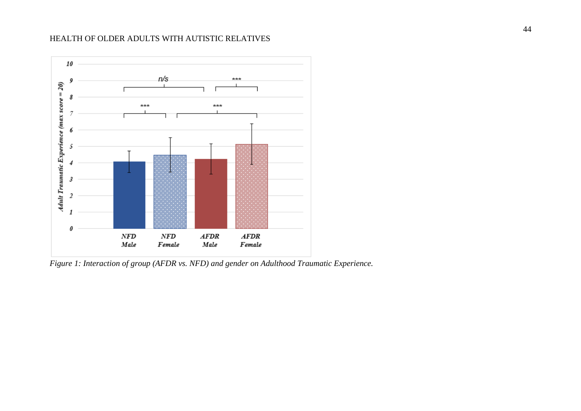

*Figure 1: Interaction of group (AFDR vs. NFD) and gender on Adulthood Traumatic Experience.*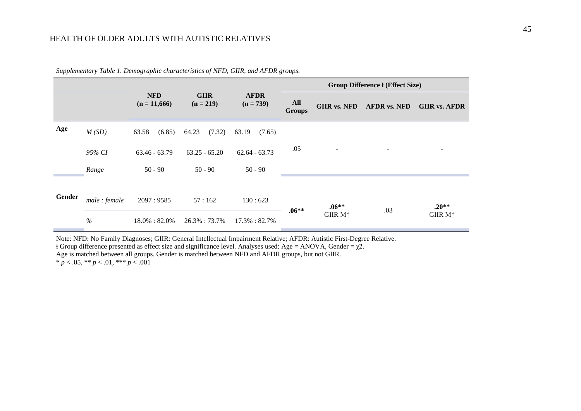|        |              |                              |                            |                            |                      |                     | <b>Group Difference I (Effect Size)</b> |                            |
|--------|--------------|------------------------------|----------------------------|----------------------------|----------------------|---------------------|-----------------------------------------|----------------------------|
|        |              | <b>NFD</b><br>$(n = 11,666)$ | <b>GIIR</b><br>$(n = 219)$ | <b>AFDR</b><br>$(n = 739)$ | All<br><b>Groups</b> | <b>GIIR vs. NFD</b> | <b>AFDR vs. NFD</b>                     | <b>GIIR vs. AFDR</b>       |
| Age    | M(SD)        | (6.85)<br>63.58              | (7.32)<br>64.23            | 63.19<br>(7.65)            |                      |                     |                                         |                            |
|        | 95% CI       | $63.46 - 63.79$              | $63.25 - 65.20$            | $62.64 - 63.73$            | .05                  | ۰                   |                                         |                            |
|        | Range        | $50 - 90$                    | $50 - 90$                  | $50 - 90$                  |                      |                     |                                         |                            |
|        |              |                              |                            |                            |                      |                     |                                         |                            |
| Gender | male: female | 2097:9585                    | 57:162                     | 130:623                    | $.06**$              | $.06**$             | .03                                     | $.20**$                    |
|        | $\%$         | $18.0\% : 82.0\%$            | 26.3%: 73.7%               | 17.3%: 82.7%               |                      | GIIR $M\uparrow$    |                                         | <b>GIIR M</b> <sup>1</sup> |

*Supplementary Table 1. Demographic characteristics of NFD, GIIR, and AFDR groups.*

Note: NFD: No Family Diagnoses; GIIR: General Intellectual Impairment Relative; AFDR: Autistic First-Degree Relative.  $\dagger$  Group difference presented as effect size and significance level. Analyses used: Age = ANOVA, Gender =  $\chi$ 2. Age is matched between all groups. Gender is matched between NFD and AFDR groups, but not GIIR.  $* p < .05, ** p < .01, *** p < .001$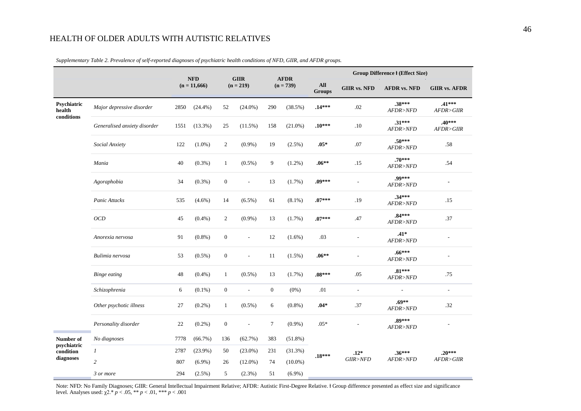|                          |                              |      | <b>NFD</b>                    | <b>GIIR</b>      |                          | <b>AFDR</b>  |                      |                     |                     | <b>Group Difference I (Effect Size)</b> |                           |
|--------------------------|------------------------------|------|-------------------------------|------------------|--------------------------|--------------|----------------------|---------------------|---------------------|-----------------------------------------|---------------------------|
|                          |                              |      | $(n = 11,666)$<br>$(n = 219)$ |                  |                          | $(n = 739)$  | All<br><b>Groups</b> | <b>GIIR vs. NFD</b> | <b>AFDR vs. NFD</b> | <b>GIIR vs. AFDR</b>                    |                           |
| Psychiatric<br>health    | Major depressive disorder    | 2850 | (24.4%)                       | 52               | $(24.0\%)$               | 290          | (38.5%)              | .14***              | .02                 | $.38***$<br>AFDR>NFD                    | $.41***$<br>AFDR > G I IR |
| conditions               | Generalised anxiety disorder | 1551 | $(13.3\%)$                    | 25               | $(11.5\%)$               | 158          | $(21.0\%)$           | $.10***$            | .10                 | $.31***$<br>AFDR>NFD                    | $.40***$<br>AFDR>GIIR     |
|                          | Social Anxiety               | 122  | $(1.0\%)$                     | $\overline{2}$   | $(0.9\%)$                | 19           | $(2.5\%)$            | $.05*$              | $.07$               | $.50***$<br>AFDR>NFD                    | .58                       |
|                          | Mania                        | 40   | $(0.3\%)$                     | 1                | $(0.5\%)$                | 9            | $(1.2\%)$            | $.06**$             | .15                 | $.70***$<br>AFDR>NFD                    | .54                       |
|                          | Agoraphobia                  | 34   | $(0.3\%)$                     | $\boldsymbol{0}$ | $\overline{\phantom{a}}$ | 13           | (1.7%)               | $.09***$            | $\mathbf{r}$        | .99***<br>AFDR>NFD                      | $\blacksquare$            |
|                          | Panic Attacks                | 535  | $(4.6\%)$                     | 14               | $(6.5\%)$                | 61           | $(8.1\%)$            | $.07***$            | .19                 | $.34***$<br>AFDR>NFD                    | .15                       |
|                          | OCD                          | 45   | $(0.4\%)$                     | $\overline{2}$   | $(0.9\%)$                | 13           | $(1.7\%)$            | $.07***$            | .47                 | $.84***$<br>AFDR>NFD                    | .37                       |
|                          | Anorexia nervosa             | 91   | $(0.8\%)$                     | $\boldsymbol{0}$ | $\overline{\phantom{a}}$ | 12           | $(1.6\%)$            | .03                 |                     | $.41*$<br>AFDR>NFD                      |                           |
|                          | Bulimia nervosa              | 53   | $(0.5\%)$                     | $\boldsymbol{0}$ | ÷,                       | $11\,$       | (1.5%)               | $.06**$             |                     | $.66***$<br>AFDR>NFD                    | $\overline{\phantom{a}}$  |
|                          | <b>Binge eating</b>          | 48   | $(0.4\%)$                     | $\mathbf{1}$     | $(0.5\%)$                | 13           | $(1.7\%)$            | $.08***$            | .05                 | $.81***$<br>AFDR > NFD                  | .75                       |
|                          | Schizophrenia                | 6    | $(0.1\%)$                     | $\boldsymbol{0}$ | ÷,                       | $\mathbf{0}$ | $(0\%)$              | .01                 | $\mathbf{r}$        | ÷                                       | $\sim$                    |
|                          | Other psychotic illness      | 27   | $(0.2\%)$                     | $\mathbf{1}$     | $(0.5\%)$                | 6            | $(0.8\%)$            | $.04*$              | .37                 | $.69**$<br>AFDR > NFD                   | .32                       |
|                          | Personality disorder         | 22   | $(0.2\%)$                     | $\boldsymbol{0}$ | ÷,                       | $\tau$       | $(0.9\%)$            | $.05*$              |                     | .89***<br>AFDR>NFD                      |                           |
| Number of                | No diagnoses                 | 7778 | $(66.7\%)$                    | 136              | (62.7%)                  | 383          | $(51.8\%)$           |                     |                     |                                         |                           |
| psychiatric<br>condition | $\mathcal{I}$                | 2787 | $(23.9\%)$                    | 50               | $(23.0\%)$               | 231          | (31.3%)              | $.18***$            | $.12*$              | $.36***$                                | $.20***$                  |
| diagnoses                | $\overline{c}$               | 807  | $(6.9\%)$                     | 26               | $(12.0\%)$               | 74           | $(10.0\%)$           |                     | $GIIR$ >NFD         | AFDR>NFD                                | AFDR > G I IR             |
|                          | 3 or more                    | 294  | $(2.5\%)$                     | 5                | $(2.3\%)$                | 51           | $(6.9\%)$            |                     |                     |                                         |                           |

Supplementary Table 2. Prevalence of self-reported diagnoses of psychiatric health conditions of NFD, GIIR, and AFDR groups.

Note: NFD: No Family Diagnoses; GIIR: General Intellectual Impairment Relative; AFDR: Autistic First-Degree Relative. I Group difference presented as effect size and significance level. Analyses used:  $\chi$ 2.\*  $p < .05$ , \*\*  $p < .01$ , \*\*\*  $p < .001$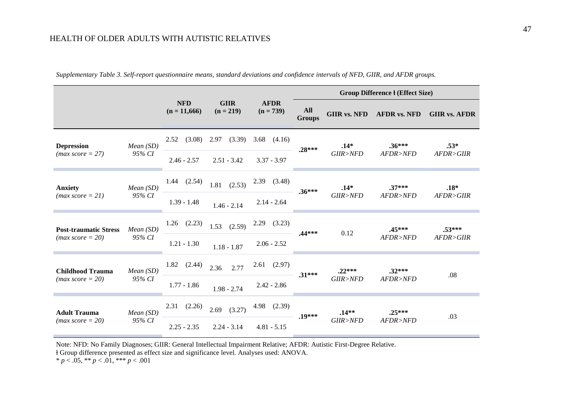|                              |             |                              |                            |                            |                      |                     | <b>Group Difference I (Effect Size)</b> |                      |  |
|------------------------------|-------------|------------------------------|----------------------------|----------------------------|----------------------|---------------------|-----------------------------------------|----------------------|--|
|                              |             | <b>NFD</b><br>$(n = 11,666)$ | <b>GIIR</b><br>$(n = 219)$ | <b>AFDR</b><br>$(n = 739)$ | All<br><b>Groups</b> | <b>GIIR vs. NFD</b> | <b>AFDR vs. NFD</b>                     | <b>GIIR vs. AFDR</b> |  |
| <b>Depression</b>            | Mean(SD)    | (3.08)<br>2.52               | 2.97<br>(3.39)             | 3.68<br>(4.16)             |                      | $.14*$              | $.36***$                                | $.53*$               |  |
| $(max score = 27)$           | 95% CI      | $2.46 - 2.57$                | $2.51 - 3.42$              | $3.37 - 3.97$              | $.28***$             | GIIR > NFD          | AFDR>NFD                                | AFDR > G I IR        |  |
| <b>Anxiety</b>               | Mean(SD)    | (2.54)<br>1.44               | (2.53)<br>1.81             | $2.39$ $(3.48)$            |                      | $.14*$              | $.37***$                                | $.18*$               |  |
| $(max score = 21)$           | 95% CI      | $1.39 - 1.48$                | $1.46 - 2.14$              | $2.14 - 2.64$              | $.36***$             | GIIR>NFD            | AFDR>NFD                                | AFDR > G I IR        |  |
| <b>Post-traumatic Stress</b> | Mean(SD)    | (2.23)<br>1.26               | (2.59)<br>1.53             | $2.29$ $(3.23)$            | $.44***$             | 0.12                | $.45***$                                | $.53***$             |  |
| $(max score = 20)$           | 95% CI      | $1.21 - 1.30$                | $1.18 - 1.87$              | $2.06 - 2.52$              |                      |                     | AFDR > NFD                              | AFDR > G I IR        |  |
| <b>Childhood Trauma</b>      | Mean $(SD)$ | 1.82<br>(2.44)               | 2.77<br>2.36               | $2.61$ $(2.97)$            | $.31***$             | $.22***$            | $.32***$                                | .08                  |  |
| $(max score = 20)$           | 95% CI      | $1.77 - 1.86$                | $1.98 - 2.74$              | $2.42 - 2.86$              |                      | GIIR>NFD            | AFDR>NFD                                |                      |  |
| <b>Adult Trauma</b>          | Mean(SD)    | (2.26)<br>2.31               | 2.69<br>(3.27)             | 4.98 (2.39)                | $.19***$             | $.14**$             | $.25***$                                |                      |  |
| $(max score = 20)$           | 95% CI      | $2.25 - 2.35$                | $2.24 - 3.14$              | $4.81 - 5.15$              |                      | GIIR>NFD            | AFDR>NFD                                | .03                  |  |

**Contract Contract** 

Supplementary Table 3. Self-report questionnaire means, standard deviations and confidence intervals of NFD, GIIR, and AFDR groups.

Note: NFD: No Family Diagnoses; GIIR: General Intellectual Impairment Relative; AFDR: Autistic First-Degree Relative.

ⱡ Group difference presented as effect size and significance level. Analyses used: ANOVA.

\* *p* < .05, \*\* *p* < .01, \*\*\* *p* < .001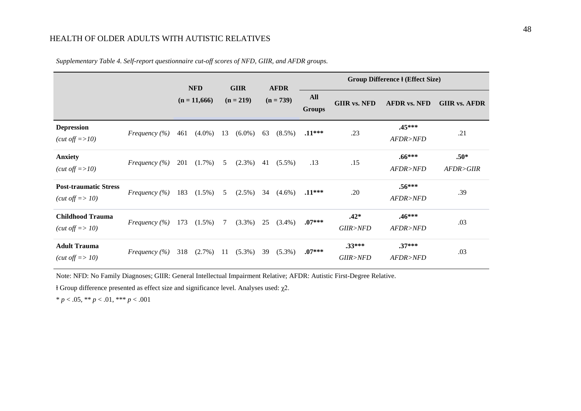|                                                                    |                   | <b>NFD</b>     |           |             | <b>GIIR</b> | <b>AFDR</b> |           |                             | <b>Group Difference I (Effect Size)</b> |                      |                         |  |  |
|--------------------------------------------------------------------|-------------------|----------------|-----------|-------------|-------------|-------------|-----------|-----------------------------|-----------------------------------------|----------------------|-------------------------|--|--|
|                                                                    |                   | $(n = 11,666)$ |           | $(n = 219)$ |             | $(n = 739)$ |           | <b>All</b><br><b>Groups</b> | <b>GIIR vs. NFD</b>                     | <b>AFDR vs. NFD</b>  | <b>GIIR vs. AFDR</b>    |  |  |
| <b>Depression</b><br>$(cut \text{ off} \equiv >10)$                | Frequency $(\% )$ | 461            | $(4.0\%)$ | 13          | $(6.0\%)$   | 63          | $(8.5\%)$ | $.11***$                    | .23                                     | $.45***$<br>AFDR>NFD | .21                     |  |  |
| <b>Anxiety</b><br>$(cut \text{ off} = >10)$                        | Frequency $(\%)$  | 201            | $(1.7\%)$ | 5           | $(2.3\%)$   | 41          | $(5.5\%)$ | .13                         | .15                                     | $.66***$<br>AFDR>NFD | $.50*$<br>AFDR > G I IR |  |  |
| <b>Post-traumatic Stress</b><br>$(cut \text{ off} \Rightarrow 10)$ | Frequency $(\% )$ | 183            | $(1.5\%)$ | 5           | $(2.5\%)$   | 34          | $(4.6\%)$ | $.11***$                    | .20                                     | $.56***$<br>AFDR>NFD | .39                     |  |  |
| <b>Childhood Trauma</b><br>( <i>cut off</i> $\Rightarrow$ 10)      | Frequency $(\% )$ | 173            | $(1.5\%)$ | 7           | $(3.3\%)$   | 25          | $(3.4\%)$ | $.07***$                    | $.42*$<br>GIIR>NFD                      | $.46***$<br>AFDR>NFD | .03                     |  |  |
| <b>Adult Trauma</b><br>( <i>cut off</i> $\Rightarrow$ 10)          | Frequency $(\% )$ | 318            | $(2.7\%)$ | 11          | $(5.3\%)$   | 39          | $(5.3\%)$ | $.07***$                    | $.33***$<br>GIIR>NFD                    | $.37***$<br>AFDR>NFD | .03                     |  |  |

*Supplementary Table 4. Self-report questionnaire cut-off scores of NFD, GIIR, and AFDR groups.*

Note: NFD: No Family Diagnoses; GIIR: General Intellectual Impairment Relative; AFDR: Autistic First-Degree Relative.

ⱡ Group difference presented as effect size and significance level. Analyses used: χ2.

\* *p* < .05, \*\* *p* < .01, \*\*\* *p* < .001